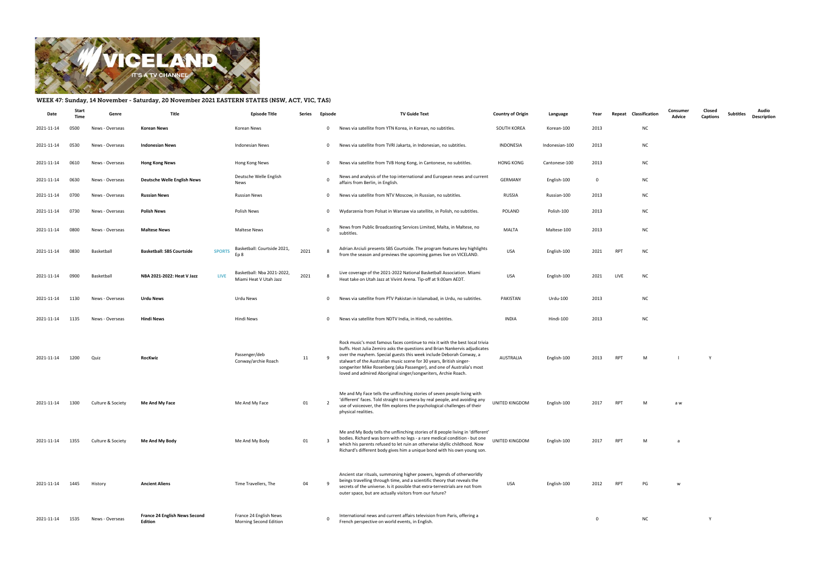

## WEEK 47: Sunday, 14 November - Saturday, 20 November 2021 EASTERN STATES (NSW, ACT, VIC, TAS)

| Date       | Start<br>Time | Genre             | Title                                             | Episode Title                                        | Series | Episode                 | <b>TV Guide Text</b>                                                                                                                                                                                                                                                                                                                                                                                                                                   | <b>Country of Origin</b> | Language       | Year        | Classification<br>Repeat |           | Consumer<br>Advice | Closed<br><b>Captions</b> | Subtitles | Audio<br><b>Description</b> |
|------------|---------------|-------------------|---------------------------------------------------|------------------------------------------------------|--------|-------------------------|--------------------------------------------------------------------------------------------------------------------------------------------------------------------------------------------------------------------------------------------------------------------------------------------------------------------------------------------------------------------------------------------------------------------------------------------------------|--------------------------|----------------|-------------|--------------------------|-----------|--------------------|---------------------------|-----------|-----------------------------|
| 2021-11-14 | 0500          | News - Overseas   | <b>Korean News</b>                                | Korean News                                          |        | $\mathbf 0$             | News via satellite from YTN Korea, in Korean, no subtitles.                                                                                                                                                                                                                                                                                                                                                                                            | SOUTH KOREA              | Korean-100     | 2013        | <b>NC</b>                |           |                    |                           |           |                             |
| 2021-11-14 | 0530          | News - Overseas   | <b>Indonesian News</b>                            | <b>Indonesian News</b>                               |        | $\overline{0}$          | News via satellite from TVRI Jakarta, in Indonesian, no subtitles.                                                                                                                                                                                                                                                                                                                                                                                     | INDONESIA                | Indonesian-100 | 2013        |                          | <b>NC</b> |                    |                           |           |                             |
| 2021-11-14 | 0610          | News - Overseas   | <b>Hong Kong News</b>                             | Hong Kong News                                       |        | $\overline{0}$          | News via satellite from TVB Hong Kong, in Cantonese, no subtitles.                                                                                                                                                                                                                                                                                                                                                                                     | <b>HONG KONG</b>         | Cantonese-100  | 2013        | <b>NC</b>                |           |                    |                           |           |                             |
| 2021-11-14 | 0630          | News - Overseas   | <b>Deutsche Welle English News</b>                | Deutsche Welle English<br>News                       |        | $\overline{0}$          | News and analysis of the top international and European news and current<br>affairs from Berlin, in English.                                                                                                                                                                                                                                                                                                                                           | GERMANY                  | English-100    | $\mathbf 0$ | <b>NC</b>                |           |                    |                           |           |                             |
| 2021-11-14 | 0700          | News - Overseas   | <b>Russian News</b>                               | <b>Russian News</b>                                  |        | $\overline{\mathbf{0}}$ | News via satellite from NTV Moscow, in Russian, no subtitles.                                                                                                                                                                                                                                                                                                                                                                                          | RUSSIA                   | Russian-100    | 2013        |                          | <b>NC</b> |                    |                           |           |                             |
| 2021-11-14 | 0730          | News - Overseas   | <b>Polish News</b>                                | Polish News                                          |        | $\mathbf 0$             | Wydarzenia from Polsat in Warsaw via satellite, in Polish, no subtitles.                                                                                                                                                                                                                                                                                                                                                                               | POLAND                   | Polish-100     | 2013        |                          | <b>NC</b> |                    |                           |           |                             |
| 2021-11-14 | 0800          | News - Overseas   | <b>Maltese News</b>                               | Maltese News                                         |        | $\overline{0}$          | News from Public Broadcasting Services Limited, Malta, in Maltese, no<br>subtitles.                                                                                                                                                                                                                                                                                                                                                                    | MALTA                    | Maltese-100    | 2013        |                          | <b>NC</b> |                    |                           |           |                             |
| 2021-11-14 | 0830          | Basketball        | <b>Basketball: SBS Courtside</b><br><b>SPORTS</b> | Basketball: Courtside 2021,<br>Ep 8                  | 2021   | - 8                     | Adrian Arciuli presents SBS Courtside. The program features key highlights<br>from the season and previews the upcoming games live on VICELAND.                                                                                                                                                                                                                                                                                                        | <b>USA</b>               | English-100    | 2021        | <b>RPT</b><br><b>NC</b>  |           |                    |                           |           |                             |
| 2021-11-14 | 0900          | Basketball        | <b>LIVE</b><br>NBA 2021-2022: Heat V Jazz         | Basketball: Nba 2021-2022,<br>Miami Heat V Utah Jazz | 2021   | - 8                     | Live coverage of the 2021-2022 National Basketball Association. Miami<br>Heat take on Utah Jazz at Vivint Arena. Tip-off at 9.00am AEDT.                                                                                                                                                                                                                                                                                                               | <b>USA</b>               | English-100    | 2021        | LIVE<br><b>NC</b>        |           |                    |                           |           |                             |
| 2021-11-14 | 1130          | News - Overseas   | <b>Urdu News</b>                                  | Urdu News                                            |        | $\overline{0}$          | News via satellite from PTV Pakistan in Islamabad, in Urdu, no subtitles.                                                                                                                                                                                                                                                                                                                                                                              | PAKISTAN                 | Urdu-100       | 2013        | <b>NC</b>                |           |                    |                           |           |                             |
| 2021-11-14 | 1135          | News - Overseas   | <b>Hindi News</b>                                 | Hindi News                                           |        | $\overline{0}$          | News via satellite from NDTV India, in Hindi, no subtitles.                                                                                                                                                                                                                                                                                                                                                                                            | INDIA                    | Hindi-100      | 2013        |                          | <b>NC</b> |                    |                           |           |                             |
| 2021-11-14 | 1200          | Quiz              | RocKwiz                                           | Passenger/deb<br>Conway/archie Roach                 | 11     | $\mathbf{q}$            | Rock music's most famous faces continue to mix it with the best local trivia<br>buffs. Host Julia Zemiro asks the questions and Brian Nankervis adjudicates<br>over the mayhem. Special guests this week include Deborah Conway, a<br>stalwart of the Australian music scene for 30 years, British singer-<br>songwriter Mike Rosenberg (aka Passenger), and one of Australia's most<br>loved and admired Aboriginal singer/songwriters, Archie Roach. | AUSTRALIA                | English-100    | 2013        | <b>RPT</b><br>M          |           |                    | Y                         |           |                             |
| 2021-11-14 | 1300          | Culture & Society | Me And My Face                                    | Me And My Face                                       | 01     | - 2                     | Me and My Face tells the unflinching stories of seven people living with<br>'different' faces. Told straight to camera by real people, and avoiding any<br>use of voiceover, the film explores the psychological challenges of their<br>physical realities.                                                                                                                                                                                            | UNITED KINGDOM           | English-100    | 2017        | <b>RPT</b>               | M         | a w                |                           |           |                             |
| 2021-11-14 | 1355          | Culture & Society | Me And My Body                                    | Me And My Body                                       | 01     | - 3                     | Me and My Body tells the unflinching stories of 8 people living in 'different'<br>bodies. Richard was born with no legs - a rare medical condition - but one<br>which his parents refused to let ruin an otherwise idyllic childhood. Now<br>Richard's different body gives him a unique bond with his own young son.                                                                                                                                  | UNITED KINGDOM           | English-100    | 2017        | <b>RPT</b>               | M         | a -                |                           |           |                             |
| 2021-11-14 | 1445          | History           | <b>Ancient Aliens</b>                             | Time Travellers, The                                 | 04     |                         | Ancient star rituals, summoning higher powers, legends of otherworldly<br>beings travelling through time, and a scientific theory that reveals the<br>secrets of the universe. Is it possible that extra-terrestrials are not from<br>outer space, but are actually visitors from our future?                                                                                                                                                          | <b>USA</b>               | English-100    | 2012        | RPT                      | PG        | w                  |                           |           |                             |
| 2021-11-14 | 1535          | News - Overseas   | <b>France 24 English News Second</b><br>Edition   | France 24 English News<br>Morning Second Edition     |        | $\mathbf 0$             | International news and current affairs television from Paris, offering a<br>French perspective on world events, in English.                                                                                                                                                                                                                                                                                                                            |                          |                | $\mathbf 0$ |                          | <b>NC</b> |                    | Y                         |           |                             |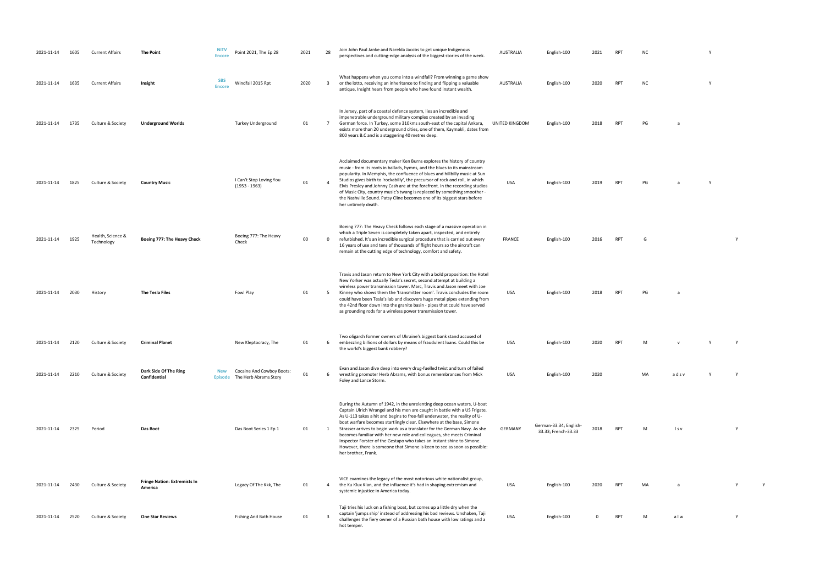| 2021-11-14 | 1605 | <b>Current Affairs</b>          | <b>The Point</b>                               | <b>NITV</b><br><b>Encore</b> | Point 2021, The Ep 28                              | 2021 | 28                      | Join John Paul Janke and Narelda Jacobs to get unique Indigenous<br>perspectives and cutting-edge analysis of the biggest stories of the week.                                                                                                                                                                                                                                                                                                                                                                                                                                                                                                    | AUSTRALIA      | English-100                                   | 2021     | <b>RPT</b> | NC.       |       | <b>Y</b> |   |
|------------|------|---------------------------------|------------------------------------------------|------------------------------|----------------------------------------------------|------|-------------------------|---------------------------------------------------------------------------------------------------------------------------------------------------------------------------------------------------------------------------------------------------------------------------------------------------------------------------------------------------------------------------------------------------------------------------------------------------------------------------------------------------------------------------------------------------------------------------------------------------------------------------------------------------|----------------|-----------------------------------------------|----------|------------|-----------|-------|----------|---|
| 2021-11-14 | 1635 | <b>Current Affairs</b>          | Insight                                        | <b>SBS</b><br><b>Encore</b>  | Windfall 2015 Rpt                                  | 2020 | $\overline{\mathbf{3}}$ | What happens when you come into a windfall? From winning a game show<br>or the lotto, receiving an inheritance to finding and flipping a valuable<br>antique, Insight hears from people who have found instant wealth.                                                                                                                                                                                                                                                                                                                                                                                                                            | AUSTRALIA      | English-100                                   | 2020     | <b>RPT</b> | <b>NC</b> |       | <b>Y</b> |   |
| 2021-11-14 | 1735 | Culture & Society               | <b>Underground Worlds</b>                      |                              | Turkey Underground                                 | 01   | $7\overline{ }$         | In Jersey, part of a coastal defence system, lies an incredible and<br>impenetrable underground military complex created by an invading<br>German force. In Turkey, some 310kms south-east of the capital Ankara,<br>exists more than 20 underground cities, one of them, Kaymakli, dates from<br>800 years B.C and is a staggering 40 metres deep.                                                                                                                                                                                                                                                                                               | UNITED KINGDOM | English-100                                   | 2018     | RPT        | PG        | a     |          |   |
| 2021-11-14 | 1825 | Culture & Society               | <b>Country Music</b>                           |                              | I Can't Stop Loving You<br>$(1953 - 1963)$         | 01   | $\overline{4}$          | Acclaimed documentary maker Ken Burns explores the history of country<br>music - from its roots in ballads, hymns, and the blues to its mainstream<br>popularity. In Memphis, the confluence of blues and hillbilly music at Sun<br>Studios gives birth to 'rockabilly', the precursor of rock and roll, in which<br>Elvis Presley and Johnny Cash are at the forefront. In the recording studios<br>of Music City, country music's twang is replaced by something smoother -<br>the Nashville Sound. Patsy Cline becomes one of its biggest stars before<br>her untimely death.                                                                  | USA            | English-100                                   | 2019     | RPT        | PG        |       | <b>Y</b> |   |
| 2021-11-14 | 1925 | Health, Science &<br>Technology | Boeing 777: The Heavy Check                    |                              | Boeing 777: The Heavy<br>Check                     | 00   | $\mathbf 0$             | Boeing 777: The Heavy Check follows each stage of a massive operation in<br>which a Triple Seven is completely taken apart, inspected, and entirely<br>refurbished. It's an incredible surgical procedure that is carried out every<br>16 years of use and tens of thousands of flight hours so the aircraft can<br>remain at the cutting edge of technology, comfort and safety.                                                                                                                                                                                                                                                                 | <b>FRANCE</b>  | English-100                                   | 2016     | RPT        | G         |       |          | Y |
| 2021-11-14 | 2030 | History                         | <b>The Tesla Files</b>                         |                              | Fowl Play                                          | 01   | 5                       | Travis and Jason return to New York City with a bold proposition: the Hotel<br>New Yorker was actually Tesla's secret, second attempt at building a<br>wireless power transmission tower. Marc, Travis and Jason meet with Joe<br>Kinney who shows them the 'transmitter room'. Travis concludes the room<br>could have been Tesla's lab and discovers huge metal pipes extending from<br>the 42nd floor down into the granite basin - pipes that could have served<br>as grounding rods for a wireless power transmission tower.                                                                                                                 | USA            | English-100                                   | 2018     | <b>RPT</b> | PG        | a     |          |   |
| 2021-11-14 | 2120 | Culture & Society               | <b>Criminal Planet</b>                         |                              | New Kleptocracy, The                               | 01   | 6                       | Two oligarch former owners of Ukraine's biggest bank stand accused of<br>embezzling billions of dollars by means of fraudulent loans. Could this be<br>the world's biggest bank robbery?                                                                                                                                                                                                                                                                                                                                                                                                                                                          | USA            | English-100                                   | 2020     | <b>RPT</b> | м         |       |          |   |
| 2021-11-14 | 2210 | Culture & Society               | Dark Side Of The Ring<br>Confidential          | New<br><b>Episode</b>        | Cocaine And Cowboy Boots:<br>The Herb Abrams Story | 01   | 6                       | Evan and Jason dive deep into every drug-fuelled twist and turn of failed<br>wrestling promoter Herb Abrams, with bonus remembrances from Mick<br>Foley and Lance Storm.                                                                                                                                                                                                                                                                                                                                                                                                                                                                          | USA            | English-100                                   | 2020     |            | MA        | adsv  | Y        | Y |
| 2021-11-14 | 2325 | Period                          | Das Boot                                       |                              | Das Boot Series 1 Ep 1                             | 01   | 1                       | During the Autumn of 1942, in the unrelenting deep ocean waters, U-boat<br>Captain Ulrich Wrangel and his men are caught in battle with a US Frigate.<br>As U-113 takes a hit and begins to free-fall underwater, the reality of U-<br>boat warfare becomes startlingly clear. Elsewhere at the base, Simone<br>Strasser arrives to begin work as a translator for the German Navy. As she<br>becomes familiar with her new role and colleagues, she meets Criminal<br>Inspector Forster of the Gestapo who takes an instant shine to Simone.<br>However, there is someone that Simone is keen to see as soon as possible:<br>her brother, Frank. | <b>GERMANY</b> | German-33.34; English-<br>33.33; French-33.33 | 2018     | RPT        | м         | l s v |          |   |
| 2021-11-14 | 2430 | Culture & Society               | <b>Fringe Nation: Extremists In</b><br>America |                              | Legacy Of The Kkk, The                             | 01   | $\overline{4}$          | VICE examines the legacy of the most notorious white nationalist group,<br>the Ku Klux Klan, and the influence it's had in shaping extremism and<br>systemic injustice in America today.                                                                                                                                                                                                                                                                                                                                                                                                                                                          | USA            | English-100                                   | 2020     | <b>RPT</b> | MA        |       |          |   |
| 2021-11-14 | 2520 | Culture & Society               | <b>One Star Reviews</b>                        |                              | Fishing And Bath House                             | 01   | $\overline{\mathbf{3}}$ | Taji tries his luck on a fishing boat, but comes up a little dry when the<br>captain 'jumps ship' instead of addressing his bad reviews. Unshaken, Taji<br>challenges the fiery owner of a Russian bath house with low ratings and a<br>hot temper.                                                                                                                                                                                                                                                                                                                                                                                               | <b>USA</b>     | English-100                                   | $\Omega$ | <b>RPT</b> | м         | alw   |          | Y |

| <b>NC</b> | Y |  |
|-----------|---|--|
|           |   |  |

| NC | Υ |  |
|----|---|--|
|    |   |  |

| PG | a |
|----|---|
|    |   |

33.33 PM M lsv Y Y

POLATICAL MA a Y Y Y

USA ENGLISH-100 ORPT M a l w Y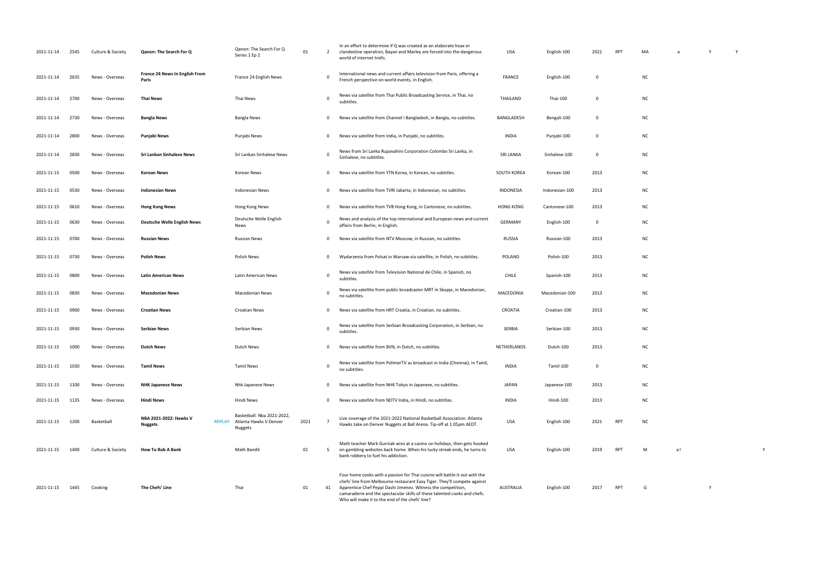| 2021-11-14 | 2545 | Culture & Society | Qanon: The Search For Q                  | Qanon: The Search For Q<br>Series 1 Ep 2                                         | 01   | 2              | In an effort to determine if Q was created as an elaborate hoax or<br>clandestine operation, Bayan and Marley are forced into the dangerous<br>world of internet trolls.                                                                                                                                                                                  | USA              | English-100    | 2021           | RPT | MA        | a  |   |  |
|------------|------|-------------------|------------------------------------------|----------------------------------------------------------------------------------|------|----------------|-----------------------------------------------------------------------------------------------------------------------------------------------------------------------------------------------------------------------------------------------------------------------------------------------------------------------------------------------------------|------------------|----------------|----------------|-----|-----------|----|---|--|
| 2021-11-14 | 2635 | News - Overseas   | France 24 News In English From<br>Paris  | France 24 English News                                                           |      | $\mathbf 0$    | International news and current affairs television from Paris, offering a<br>French perspective on world events, in English.                                                                                                                                                                                                                               | FRANCE           | English-100    | $\mathbf{0}$   |     | <b>NC</b> |    |   |  |
| 2021-11-14 | 2700 | News - Overseas   | Thai News                                | Thai News                                                                        |      | $\mathbf 0$    | News via satellite from Thai Public Broadcasting Service, in Thai, no<br>subtitles.                                                                                                                                                                                                                                                                       | THAILAND         | Thai-100       | $\mathbf 0$    |     | <b>NC</b> |    |   |  |
| 2021-11-14 | 2730 | News - Overseas   | <b>Bangla News</b>                       | Bangla News                                                                      |      | $\mathbf{0}$   | News via satellite from Channel i Bangladesh, in Bangla, no subtitles.                                                                                                                                                                                                                                                                                    | BANGLADESH       | Bengali-100    | $\overline{0}$ |     | <b>NC</b> |    |   |  |
| 2021-11-14 | 2800 | News - Overseas   | Punjabi News                             | Punjabi News                                                                     |      | $\mathbf 0$    | News via satellite from India, in Punjabi, no subtitles.                                                                                                                                                                                                                                                                                                  | <b>INDIA</b>     | Punjabi-100    | $\mathbf 0$    |     | <b>NC</b> |    |   |  |
| 2021-11-14 | 2830 | News - Overseas   | Sri Lankan Sinhalese News                | Sri Lankan Sinhalese News                                                        |      | $\mathbf 0$    | News from Sri Lanka Rupavahini Corporation Colombo Sri Lanka, in<br>Sinhalese, no subtitles.                                                                                                                                                                                                                                                              | <b>SRI LANKA</b> | Sinhalese-100  | $\overline{0}$ |     | <b>NC</b> |    |   |  |
| 2021-11-15 | 0500 | News - Overseas   | <b>Korean News</b>                       | Korean News                                                                      |      | $\mathbf 0$    | News via satellite from YTN Korea, in Korean, no subtitles.                                                                                                                                                                                                                                                                                               | SOUTH KOREA      | Korean-100     | 2013           |     | <b>NC</b> |    |   |  |
| 2021-11-15 | 0530 | News - Overseas   | <b>Indonesian News</b>                   | <b>Indonesian News</b>                                                           |      | 0              | News via satellite from TVRI Jakarta, in Indonesian, no subtitles.                                                                                                                                                                                                                                                                                        | INDONESIA        | Indonesian-100 | 2013           |     | <b>NC</b> |    |   |  |
| 2021-11-15 | 0610 | News - Overseas   | <b>Hong Kong News</b>                    | Hong Kong News                                                                   |      | $\mathbf{0}$   | News via satellite from TVB Hong Kong, in Cantonese, no subtitles.                                                                                                                                                                                                                                                                                        | <b>HONG KONG</b> | Cantonese-100  | 2013           |     | <b>NC</b> |    |   |  |
| 2021-11-15 | 0630 | News - Overseas   | <b>Deutsche Welle English News</b>       | Deutsche Welle English<br>News                                                   |      | $\mathbf 0$    | News and analysis of the top international and European news and current<br>affairs from Berlin, in English.                                                                                                                                                                                                                                              | <b>GERMANY</b>   | English-100    | $\overline{0}$ |     | <b>NC</b> |    |   |  |
| 2021-11-15 | 0700 | News - Overseas   | <b>Russian News</b>                      | <b>Russian News</b>                                                              |      | $\mathbf 0$    | News via satellite from NTV Moscow, in Russian, no subtitles.                                                                                                                                                                                                                                                                                             | RUSSIA           | Russian-100    | 2013           |     | <b>NC</b> |    |   |  |
| 2021-11-15 | 0730 | News - Overseas   | <b>Polish News</b>                       | Polish News                                                                      |      | $\mathbf 0$    | Wydarzenia from Polsat in Warsaw via satellite, in Polish, no subtitles.                                                                                                                                                                                                                                                                                  | POLAND           | Polish-100     | 2013           |     | <b>NC</b> |    |   |  |
| 2021-11-15 | 0800 | News - Overseas   | Latin American News                      | Latin American News                                                              |      | $\mathbf 0$    | News via satellite from Television National de Chile, in Spanish, no<br>subtitles.                                                                                                                                                                                                                                                                        | <b>CHILE</b>     | Spanish-100    | 2013           |     | <b>NC</b> |    |   |  |
| 2021-11-15 | 0830 | News - Overseas   | <b>Macedonian News</b>                   | <b>Macedonian News</b>                                                           |      | $\mathbf 0$    | News via satellite from public broadcaster MRT in Skopje, in Macedonian,<br>no subtitles.                                                                                                                                                                                                                                                                 | MACEDONIA        | Macedonian-100 | 2013           |     | <b>NC</b> |    |   |  |
| 2021-11-15 | 0900 | News - Overseas   | <b>Croatian News</b>                     | <b>Croatian News</b>                                                             |      | $\mathbf 0$    | News via satellite from HRT Croatia, in Croatian, no subtitles.                                                                                                                                                                                                                                                                                           | CROATIA          | Croatian-100   | 2013           |     | <b>NC</b> |    |   |  |
| 2021-11-15 | 0930 | News - Overseas   | Serbian News                             | Serbian News                                                                     |      | $\mathbf 0$    | News via satellite from Serbian Broadcasting Corporation, in Serbian, no<br>subtitles.                                                                                                                                                                                                                                                                    | SERBIA           | Serbian-100    | 2013           |     | <b>NC</b> |    |   |  |
| 2021-11-15 | 1000 | News - Overseas   | <b>Dutch News</b>                        | Dutch News                                                                       |      | 0              | News via satellite from BVN, in Dutch, no subtitles.                                                                                                                                                                                                                                                                                                      | NETHERLANDS      | Dutch-100      | 2013           |     | <b>NC</b> |    |   |  |
| 2021-11-15 | 1030 | News - Overseas   | <b>Tamil News</b>                        | <b>Tamil News</b>                                                                |      | $\mathbf 0$    | News via satellite from PolimerTV as broadcast in India (Chennai), in Tamil,<br>no subtitles.                                                                                                                                                                                                                                                             | <b>INDIA</b>     | Tamil-100      | $\mathbf 0$    |     | <b>NC</b> |    |   |  |
| 2021-11-15 | 1100 | News - Overseas   | <b>NHK Japanese News</b>                 | Nhk Japanese News                                                                |      | $\mathbf{0}$   | News via satellite from NHK Tokyo in Japanese, no subtitles.                                                                                                                                                                                                                                                                                              | <b>JAPAN</b>     | Japanese-100   | 2013           |     | <b>NC</b> |    |   |  |
| 2021-11-15 | 1135 | News - Overseas   | <b>Hindi News</b>                        | Hindi News                                                                       |      | $\mathbf 0$    | News via satellite from NDTV India, in Hindi, no subtitles.                                                                                                                                                                                                                                                                                               | <b>INDIA</b>     | Hindi-100      | 2013           |     | <b>NC</b> |    |   |  |
| 2021-11-15 | 1200 | Basketball        | NBA 2021-2022: Hawks V<br><b>Nuggets</b> | Basketball: Nba 2021-2022,<br>Atlanta Hawks V Denver<br><b>REPLAY</b><br>Nuggets | 2021 | $\overline{7}$ | Live coverage of the 2021-2022 National Basketball Association. Atlanta<br>Hawks take on Denver Nuggets at Ball Arena. Tip-off at 1.05pm AEDT.                                                                                                                                                                                                            | USA              | English-100    | 2021           | RPT | NC.       |    |   |  |
| 2021-11-15 | 1400 | Culture & Society | <b>How To Rob A Bank</b>                 | <b>Math Bandit</b>                                                               | 01   | 5              | Math teacher Mark Gurniak wins at a casino on holidays, then gets hooked<br>on gambling websites back home. When his lucky streak ends, he turns to<br>bank robbery to fuel his addiction.                                                                                                                                                                | USA              | English-100    | 2019           | RPT | M         | al |   |  |
| 2021-11-15 | 1445 | Cooking           | The Chefs' Line                          | Thai                                                                             | 01   | 41             | Four home cooks with a passion for Thai cuisine will battle it out with the<br>chefs' line from Melbourne restaurant Easy Tiger. They'll compete against<br>Apprentice Chef Peppi Dashi Jimenez. Witness the competition,<br>camaraderie and the spectacular skills of these talented cooks and chefs.<br>Who will make it to the end of the chefs' line? | AUSTRALIA        | English-100    | 2017           | RPT | G         |    | Y |  |

| MA        | a              | Y | $\mathsf Y$ |   |  |
|-----------|----------------|---|-------------|---|--|
| NC        |                |   |             |   |  |
| NC        |                |   |             |   |  |
| NC        |                |   |             |   |  |
| NC        |                |   |             |   |  |
| NC        |                |   |             |   |  |
| NC        |                |   |             |   |  |
| NC        |                |   |             |   |  |
| NC        |                |   |             |   |  |
| NC<br>NC  |                |   |             |   |  |
| NC        |                |   |             |   |  |
| NC        |                |   |             |   |  |
| NC        |                |   |             |   |  |
| NC        |                |   |             |   |  |
| NC        |                |   |             |   |  |
| NC        |                |   |             |   |  |
| NC        |                |   |             |   |  |
| NC        |                |   |             |   |  |
| NC        |                |   |             |   |  |
| $\sf NC$  |                |   |             |   |  |
| ${\sf M}$ | a <sub>l</sub> |   |             | Y |  |
|           |                |   |             |   |  |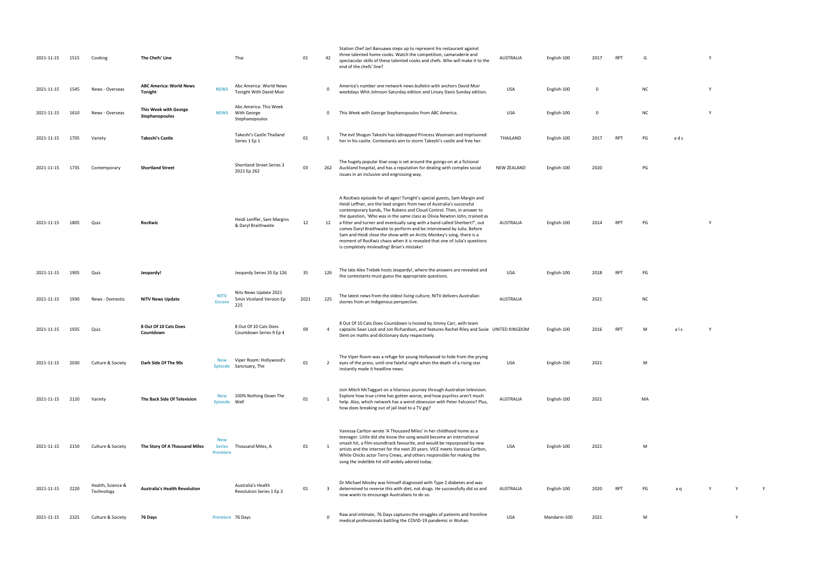| 2021-11-15 | 1515 | Cooking                         | The Chefs' Line                           |                                                | Thai                                                     | 01   | 42           | Station Chef Jarl Banuawa steps up to represent his restaurant against<br>three talented home cooks. Watch the competition, camaraderie and<br>spectacular skills of these talented cooks and chefs. Who will make it to the<br>end of the chefs' line?                                                                                                                                                                                                                                                                                                                                                                                                              | AUSTRALIA          | English-100  | 2017     | <b>RPT</b> | G         |     | Y        |   |
|------------|------|---------------------------------|-------------------------------------------|------------------------------------------------|----------------------------------------------------------|------|--------------|----------------------------------------------------------------------------------------------------------------------------------------------------------------------------------------------------------------------------------------------------------------------------------------------------------------------------------------------------------------------------------------------------------------------------------------------------------------------------------------------------------------------------------------------------------------------------------------------------------------------------------------------------------------------|--------------------|--------------|----------|------------|-----------|-----|----------|---|
| 2021-11-15 | 1545 | News - Overseas                 | <b>ABC America: World News</b><br>Tonight | <b>NEWS</b>                                    | Abc America: World News<br>Tonight With David Muir       |      | $\Omega$     | America's number one network news bulletin with anchors David Muir<br>weekdays Whit Johnson Saturday edition and Linsey Davis Sunday edition.                                                                                                                                                                                                                                                                                                                                                                                                                                                                                                                        | <b>USA</b>         | English-100  | $\Omega$ |            | <b>NC</b> |     | Y        |   |
| 2021-11-15 | 1610 | News - Overseas                 | This Week with George<br>Stephanopoulos   | <b>NEWS</b>                                    | Abc America: This Week<br>With George<br>Stephanopoulos  |      | 0            | This Week with George Stephanopoulos from ABC America.                                                                                                                                                                                                                                                                                                                                                                                                                                                                                                                                                                                                               | USA                | English-100  | 0        |            | <b>NC</b> |     | Υ        |   |
| 2021-11-15 | 1705 | Variety                         | Takeshi's Castle                          |                                                | Takeshi's Castle Thailand<br>Series 1 Ep 1               | 01   | -1           | The evil Shogun Takeshi has kidnapped Princess Woonsen and imprisoned<br>her in his castle. Contestants aim to storm Takeshi's castle and free her.                                                                                                                                                                                                                                                                                                                                                                                                                                                                                                                  | THAILAND           | English-100  | 2017     | <b>RPT</b> | PG        | ads |          |   |
| 2021-11-15 | 1735 | Contemporary                    | <b>Shortland Street</b>                   |                                                | <b>Shortland Street Series 3</b><br>2021 Ep 262          | 03   | 262          | The hugely popular Kiwi soap is set around the goings-on at a fictional<br>Auckland hospital, and has a reputation for dealing with complex social<br>issues in an inclusive and engrossing way.                                                                                                                                                                                                                                                                                                                                                                                                                                                                     | <b>NEW ZEALAND</b> | English-100  | 2020     |            | PG        |     |          |   |
| 2021-11-15 | 1805 | Quiz                            | RocKwiz                                   |                                                | Heidi Lenffer, Sam Margins<br>& Daryl Braithwaite        | 12   | 12           | A RocKwiz episode for all ages! Tonight's special guests, Sam Margin and<br>Heidi Leffner, are the lead singers from two of Australia's successful<br>contemporary bands, The Rubens and Cloud Control. Then, in answer to<br>the question, 'Who was in the same class as Olivia Newton John, trained as<br>a fitter and turner and eventually sang with a band called Sherbert?', out<br>comes Daryl Braithwaite to perform and be interviewed by Julia. Before<br>Sam and Heidi close the show with an Arctic Monkey's song, there is a<br>moment of RocKwiz chaos when it is revealed that one of Julia's questions<br>is completely misleading! Brian's mistake! | AUSTRALIA          | English-100  | 2014     | <b>RPT</b> | PG        |     | <b>Y</b> |   |
| 2021-11-15 | 1905 | Quiz                            | Jeopardy!                                 |                                                | Jeopardy Series 35 Ep 126                                | 35   | 126          | The late Alex Trebek hosts Jeopardy!, where the answers are revealed and<br>the contestants must guess the appropriate questions.                                                                                                                                                                                                                                                                                                                                                                                                                                                                                                                                    | <b>USA</b>         | English-100  | 2018     | <b>RPT</b> | PG        |     |          |   |
| 2021-11-15 | 1930 | News - Domestic                 | <b>NITV News Update</b>                   | <b>NITV</b><br><b>Encore</b>                   | Nitv News Update 2021<br>5min Viceland Version Ep<br>225 | 2021 | 225          | The latest news from the oldest living culture, NITV delivers Australian<br>stories from an Indigenous perspective.                                                                                                                                                                                                                                                                                                                                                                                                                                                                                                                                                  | AUSTRALIA          |              | 2021     |            | <b>NC</b> |     |          |   |
| 2021-11-15 | 1935 | Quiz                            | 8 Out Of 10 Cats Does<br>Countdown        |                                                | 8 Out Of 10 Cats Does<br>Countdown Series 9 Ep 4         | 09   | 4            | 8 Out Of 10 Cats Does Countdown is hosted by Jimmy Carr, with team<br>captains Sean Lock and Jon Richardson, and features Rachel Riley and Susie UNITED KINGDOM<br>Dent on maths and dictionary duty respectively.                                                                                                                                                                                                                                                                                                                                                                                                                                                   |                    | English-100  | 2016     | <b>RPT</b> | M         | als | Y        |   |
| 2021-11-15 | 2030 | Culture & Society               | Dark Side Of The 90s                      | <b>New</b><br>Episode                          | Viper Room: Hollywood's<br>Sanctuary, The                | 01   | $\mathbf{2}$ | The Viper Room was a refuge for young Hollywood to hide from the prying<br>eyes of the press, until one fateful night when the death of a rising star<br>instantly made it headline news.                                                                                                                                                                                                                                                                                                                                                                                                                                                                            | USA                | English-100  | 2021     |            | M         |     |          |   |
| 2021-11-15 | 2120 | Variety                         | The Back Side Of Television               | <b>New</b><br><b>Episode</b>                   | 100% Nothing Down The<br>Well                            | 01   | 1            | Join Mitch McTaggart on a hilarious journey through Australian television.<br>Explore how true crime has gotten worse, and how psychics aren't much<br>help. Also, which network has a weird obsession with Peter Falconio? Plus,<br>how does breaking out of jail lead to a TV gig?                                                                                                                                                                                                                                                                                                                                                                                 | <b>AUSTRALIA</b>   | English-100  | 2021     |            | MA        |     |          |   |
| 2021-11-15 | 2150 | Culture & Society               | The Story Of A Thousand Miles             | <b>New</b><br><b>Series</b><br><b>Premiere</b> | Thousand Miles, A                                        | 01   | - 1          | Vanessa Carlton wrote 'A Thousand Miles' in her childhood home as a<br>teenager. Little did she know the song would become an international<br>smash hit, a film-soundtrack favourite, and would be repurposed by new<br>artists and the internet for the next 20 years. VICE meets Vanessa Carlton,<br>White Chicks actor Terry Crews, and others responsible for making the<br>song the indelible hit still widely adored today.                                                                                                                                                                                                                                   | USA                | English-100  | 2021     |            | M         |     |          |   |
| 2021-11-15 | 2220 | Health, Science &<br>Technology | <b>Australia's Health Revolution</b>      |                                                | Australia's Health<br>Revolution Series 1 Ep 3           | 01   | 3            | Dr Michael Mosley was himself diagnosed with Type 2 diabetes and was<br>determined to reverse this with diet, not drugs. He successfully did so and<br>now wants to encourage Australians to do so.                                                                                                                                                                                                                                                                                                                                                                                                                                                                  | AUSTRALIA          | English-100  | 2020     | <b>RPT</b> | PG        | a q |          |   |
| 2021-11-15 | 2325 | Culture & Society               | 76 Days                                   |                                                | Premiere 76 Days                                         |      | $\mathbf 0$  | Raw and intimate, 76 Days captures the struggles of patients and frontline<br>medical professionals battling the COVID-19 pandemic in Wuhan.                                                                                                                                                                                                                                                                                                                                                                                                                                                                                                                         | <b>USA</b>         | Mandarin-100 | 2021     |            | M         |     |          | Y |

- glish-100 2017 RPT G  $Y$ 
	- weekdays Whit Johnson Saturday edition and Linsey Davis Sunday edition. USA English-100 <sup>0</sup> NC <sup>Y</sup>
	- 0 This Week with George Stephanopoulos from ABC America. USA English-100 0 NC Y
	- her in his castle. Contestants and storm Takeshijo and free her. The storm Takeshijo castle and free her. The <br>The storm Takeshijo 2017 RPT PG and storm in the storm Takeshijo 2017 RPT PG and storm in the storm in the sto
	- $P$ Galand  $P$ Galand  $P$ Galand  $P$ Galand  $P$ Galand  $P$ Galand  $P$ Galand  $P$ Galand  $P$ Galand  $P$ Galand  $P$ Galand  $P$ Galand  $P$ Galand  $P$ Galand  $P$ Galand  $P$ Galand  $P$ Galand  $P$ Galand  $P$ Galand  $P$ Galand  $P$ Galand  $P$ Galand
		-
		-
		-
		-
		-
		-
	- USA English-100 2021 M
		- MA
			-
		- USA English-100 2021 M
		- AUSTRALIA ENGLish-100 2020 RPT PG a q Y Y Y Y Y
		- $m = 0$ 21 pandemic in Wuhan. USA Mandarin-19 pandemic in Wuhan. USA Mandarin-100 2021 M
- 
- 
- 
- 
- 
- 
- 
- 
- 
-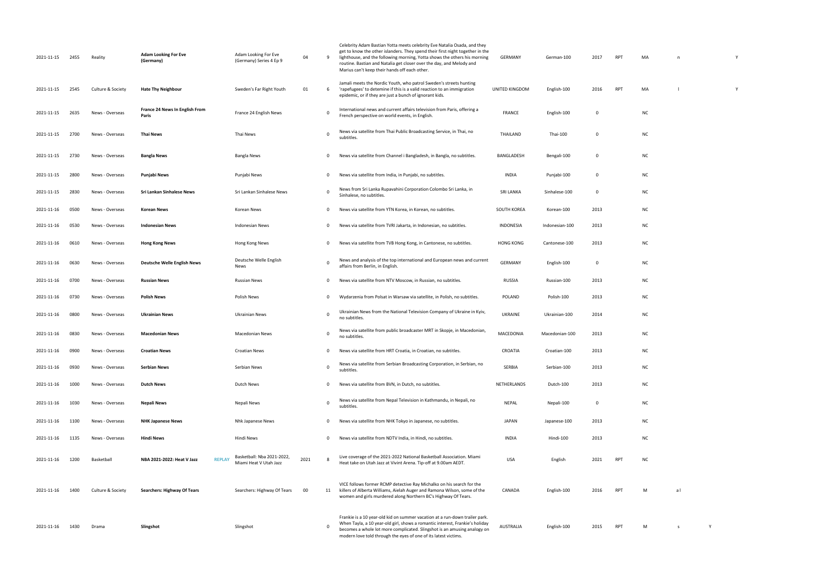| 2021-11-15 | 2455 | Reality           | <b>Adam Looking For Eve</b><br>(Germany)    | Adam Looking For Eve<br>(Germany) Series 4 Ep 9      | 04   | -9       | Celebrity Adam Bastian Yotta meets celebrity Eve Natalia Osada, and they<br>get to know the other islanders. They spend their first night together in the<br>lighthouse, and the following morning, Yotta shows the others his morning<br>routine. Bastian and Natalia get closer over the day, and Melody and<br>Marius can't keep their hands off each other. | GERMANY          | German-100     | 2017 | <b>RPT</b> | MA        | n  |  |
|------------|------|-------------------|---------------------------------------------|------------------------------------------------------|------|----------|-----------------------------------------------------------------------------------------------------------------------------------------------------------------------------------------------------------------------------------------------------------------------------------------------------------------------------------------------------------------|------------------|----------------|------|------------|-----------|----|--|
| 2021-11-15 | 2545 | Culture & Society | <b>Hate Thy Neighbour</b>                   | Sweden's Far Right Youth                             | 01   | -6       | Jamali meets the Nordic Youth, who patrol Sweden's streets hunting<br>'rapefugees' to detemine if this is a valid reaction to an immigration<br>epidemic, or if they are just a bunch of ignorant kids.                                                                                                                                                         | UNITED KINGDOM   | English-100    | 2016 | <b>RPT</b> | MA        |    |  |
| 2021-11-15 | 2635 | News - Overseas   | France 24 News In English From<br>Paris     | France 24 English News                               |      | 0        | International news and current affairs television from Paris, offering a<br>French perspective on world events, in English.                                                                                                                                                                                                                                     | <b>FRANCE</b>    | English-100    | 0    |            | <b>NC</b> |    |  |
| 2021-11-15 | 2700 | News - Overseas   | <b>Thai News</b>                            | Thai News                                            |      | 0        | News via satellite from Thai Public Broadcasting Service, in Thai, no<br>subtitles.                                                                                                                                                                                                                                                                             | THAILAND         | Thai-100       | 0    |            | <b>NC</b> |    |  |
| 2021-11-15 | 2730 | News - Overseas   | Bangla News                                 | Bangla News                                          |      | 0        | News via satellite from Channel i Bangladesh, in Bangla, no subtitles.                                                                                                                                                                                                                                                                                          | BANGLADESH       | Bengali-100    | 0    |            | <b>NC</b> |    |  |
| 2021-11-15 | 2800 | News - Overseas   | Punjabi News                                | Punjabi News                                         |      | 0        | News via satellite from India, in Punjabi, no subtitles.                                                                                                                                                                                                                                                                                                        | INDIA            | Punjabi-100    | 0    |            | <b>NC</b> |    |  |
| 2021-11-15 | 2830 | News - Overseas   | Sri Lankan Sinhalese News                   | Sri Lankan Sinhalese News                            |      | 0        | News from Sri Lanka Rupavahini Corporation Colombo Sri Lanka, in<br>Sinhalese, no subtitles.                                                                                                                                                                                                                                                                    | <b>SRI LANKA</b> | Sinhalese-100  | 0    |            | <b>NC</b> |    |  |
| 2021-11-16 | 0500 | News - Overseas   | Korean News                                 | Korean News                                          |      | 0        | News via satellite from YTN Korea, in Korean, no subtitles.                                                                                                                                                                                                                                                                                                     | SOUTH KOREA      | Korean-100     | 2013 |            | <b>NC</b> |    |  |
| 2021-11-16 | 0530 | News - Overseas   | <b>Indonesian News</b>                      | Indonesian News                                      |      | 0        | News via satellite from TVRI Jakarta, in Indonesian, no subtitles.                                                                                                                                                                                                                                                                                              | INDONESIA        | Indonesian-100 | 2013 |            | <b>NC</b> |    |  |
| 2021-11-16 | 0610 | News - Overseas   | <b>Hong Kong News</b>                       | Hong Kong News                                       |      | 0        | News via satellite from TVB Hong Kong, in Cantonese, no subtitles.                                                                                                                                                                                                                                                                                              | <b>HONG KONG</b> | Cantonese-100  | 2013 |            | <b>NC</b> |    |  |
| 2021-11-16 | 0630 | News - Overseas   | <b>Deutsche Welle English News</b>          | Deutsche Welle English<br>News                       |      | 0        | News and analysis of the top international and European news and current<br>affairs from Berlin, in English.                                                                                                                                                                                                                                                    | GERMANY          | English-100    | 0    |            | <b>NC</b> |    |  |
| 2021-11-16 | 0700 | News - Overseas   | <b>Russian News</b>                         | <b>Russian News</b>                                  |      | 0        | News via satellite from NTV Moscow, in Russian, no subtitles.                                                                                                                                                                                                                                                                                                   | RUSSIA           | Russian-100    | 2013 |            | <b>NC</b> |    |  |
| 2021-11-16 | 0730 | News - Overseas   | <b>Polish News</b>                          | Polish News                                          |      | 0        | Wydarzenia from Polsat in Warsaw via satellite, in Polish, no subtitles.                                                                                                                                                                                                                                                                                        | <b>POLAND</b>    | Polish-100     | 2013 |            | <b>NC</b> |    |  |
| 2021-11-16 | 0800 | News - Overseas   | <b>Ukrainian News</b>                       | Ukrainian News                                       |      | 0        | Ukrainian News from the National Television Company of Ukraine in Kyiv,<br>no subtitles.                                                                                                                                                                                                                                                                        | UKRAINE          | Ukrainian-100  | 2014 |            | <b>NC</b> |    |  |
| 2021-11-16 | 0830 | News - Overseas   | <b>Macedonian News</b>                      | <b>Macedonian News</b>                               |      | $\Omega$ | News via satellite from public broadcaster MRT in Skopje, in Macedonian,<br>no subtitles.                                                                                                                                                                                                                                                                       | MACEDONIA        | Macedonian-100 | 2013 |            | <b>NC</b> |    |  |
| 2021-11-16 | 0900 | News - Overseas   | <b>Croatian News</b>                        | <b>Croatian News</b>                                 |      | n.       | News via satellite from HRT Croatia, in Croatian, no subtitles.                                                                                                                                                                                                                                                                                                 | CROATIA          | Croatian-100   | 2013 |            | <b>NC</b> |    |  |
| 2021-11-16 | 0930 | News - Overseas   | <b>Serbian News</b>                         | Serbian News                                         |      | 0        | News via satellite from Serbian Broadcasting Corporation, in Serbian, no<br>subtitles.                                                                                                                                                                                                                                                                          | SERBIA           | Serbian-100    | 2013 |            | <b>NC</b> |    |  |
| 2021-11-16 | 1000 | News - Overseas   | <b>Dutch News</b>                           | Dutch News                                           |      | 0        | News via satellite from BVN, in Dutch, no subtitles.                                                                                                                                                                                                                                                                                                            | NETHERLANDS      | Dutch-100      | 2013 |            | <b>NC</b> |    |  |
| 2021-11-16 | 1030 | News - Overseas   | Nepali News                                 | Nepali News                                          |      | 0        | News via satellite from Nepal Television in Kathmandu, in Nepali, no<br>subtitles.                                                                                                                                                                                                                                                                              | <b>NEPAL</b>     | Nepali-100     | 0    |            | <b>NC</b> |    |  |
| 2021-11-16 | 1100 | News - Overseas   | <b>NHK Japanese News</b>                    | Nhk Japanese News                                    |      | 0        | News via satellite from NHK Tokyo in Japanese, no subtitles.                                                                                                                                                                                                                                                                                                    | <b>JAPAN</b>     | Japanese-100   | 2013 |            | <b>NC</b> |    |  |
| 2021-11-16 | 1135 | News - Overseas   | Hindi News                                  | Hindi News                                           |      | 0        | News via satellite from NDTV India, in Hindi, no subtitles.                                                                                                                                                                                                                                                                                                     | <b>INDIA</b>     | Hindi-100      | 2013 |            | <b>NC</b> |    |  |
| 2021-11-16 | 1200 | Basketball        | NBA 2021-2022: Heat V Jazz<br><b>REPLAY</b> | Basketball: Nba 2021-2022,<br>Miami Heat V Utah Jazz | 2021 |          | Live coverage of the 2021-2022 National Basketball Association. Miami<br>Heat take on Utah Jazz at Vivint Arena. Tip-off at 9.00am AEDT.                                                                                                                                                                                                                        | <b>USA</b>       | English        | 2021 | <b>RPT</b> | <b>NC</b> |    |  |
| 2021-11-16 | 1400 | Culture & Society | <b>Searchers: Highway Of Tears</b>          | Searchers: Highway Of Tears                          | 00   | 11       | VICE follows former RCMP detective Ray Michalko on his search for the<br>killers of Alberta Williams, Aielah Auger and Ramona Wilson, some of the<br>women and girls murdered along Northern BC's Highway Of Tears.                                                                                                                                             | CANADA           | English-100    | 2016 | <b>RPT</b> | M         | al |  |
| 2021-11-16 | 1430 | Drama             | Slingshot                                   | Slingshot                                            |      | 0        | Frankie is a 10 year-old kid on summer vacation at a run-down trailer park.<br>When Tayla, a 10 year-old girl, shows a romantic interest, Frankie's holiday<br>becomes a whole lot more complicated. Slingshot is an amusing analogy on<br>modern love told through the eyes of one of its latest victims.                                                      | AUSTRALIA        | English-100    | 2015 | RPT        | M         | s  |  |

| MA | $\mathsf{n}$   |   | Y |  |
|----|----------------|---|---|--|
|    |                |   |   |  |
|    |                |   |   |  |
| MA | $\bar{1}$      |   | Y |  |
|    |                |   |   |  |
| NC |                |   |   |  |
|    |                |   |   |  |
| NC |                |   |   |  |
|    |                |   |   |  |
| NC |                |   |   |  |
|    |                |   |   |  |
| NC |                |   |   |  |
|    |                |   |   |  |
| NC |                |   |   |  |
| NC |                |   |   |  |
|    |                |   |   |  |
| NC |                |   |   |  |
| NC |                |   |   |  |
|    |                |   |   |  |
| NC |                |   |   |  |
|    |                |   |   |  |
| NC |                |   |   |  |
| NC |                |   |   |  |
|    |                |   |   |  |
| NC |                |   |   |  |
|    |                |   |   |  |
| NC |                |   |   |  |
| NC |                |   |   |  |
|    |                |   |   |  |
| NC |                |   |   |  |
| NC |                |   |   |  |
|    |                |   |   |  |
| NC |                |   |   |  |
|    |                |   |   |  |
| NC |                |   |   |  |
| NC |                |   |   |  |
|    |                |   |   |  |
|    |                |   |   |  |
| NC |                |   |   |  |
|    |                |   |   |  |
| M  | a <sub>l</sub> |   |   |  |
|    |                |   |   |  |
|    |                |   |   |  |
|    |                |   |   |  |
| M  | $\mathsf{s}$   | Y |   |  |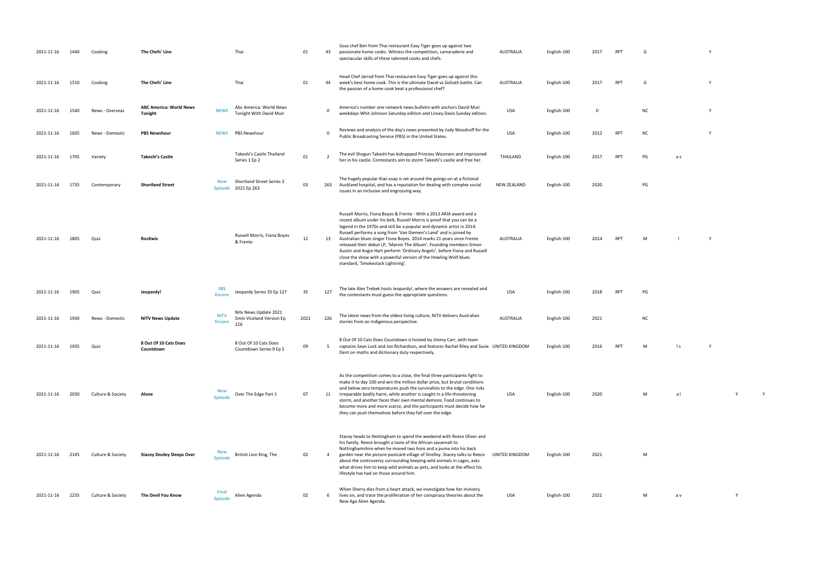| 2021-11-16 | 1440 | Cooking           | The Chefs' Line                                  |                              | Thai                                                     | 01   | 43  | Sous chef Ben from Thai restaurant Easy Tiger goes up against two<br>passionate home cooks. Witness the competition, camaraderie and<br>spectacular skills of these talented cooks and chefs.                                                                                                                                                                                                                                                                                                                                                                                                                                      | AUSTRALIA          | English-100 | 2017 | RPT        | G         |                | Y        |   |
|------------|------|-------------------|--------------------------------------------------|------------------------------|----------------------------------------------------------|------|-----|------------------------------------------------------------------------------------------------------------------------------------------------------------------------------------------------------------------------------------------------------------------------------------------------------------------------------------------------------------------------------------------------------------------------------------------------------------------------------------------------------------------------------------------------------------------------------------------------------------------------------------|--------------------|-------------|------|------------|-----------|----------------|----------|---|
| 2021-11-16 | 1510 | Cooking           | The Chefs' Line                                  |                              | Thai                                                     | 01   | 44  | Head Chef Jarrod from Thai restaurant Easy Tiger goes up against this<br>week's best home cook. This is the ultimate David vs Goliath battle. Can<br>the passion of a home cook beat a professional chef?                                                                                                                                                                                                                                                                                                                                                                                                                          | AUSTRALIA          | English-100 | 2017 | <b>RPT</b> | G         |                | <b>V</b> |   |
| 2021-11-16 | 1540 | News - Overseas   | <b>ABC America: World News</b><br><b>Tonight</b> | <b>NEWS</b>                  | Abc America: World News<br>Tonight With David Muir       |      | - 0 | America's number one network news bulletin with anchors David Muir<br>weekdays Whit Johnson Saturday edition and Linsey Davis Sunday edition.                                                                                                                                                                                                                                                                                                                                                                                                                                                                                      | USA                | English-100 | 0    |            | <b>NC</b> |                | Y        |   |
| 2021-11-16 | 1605 | News - Domestic   | <b>PBS Newshour</b>                              | <b>NEWS</b>                  | PBS Newshour                                             |      | - C | Reviews and analysis of the day's news presented by Judy Woodruff for the<br>Public Broadcasting Service (PBS) in the United States.                                                                                                                                                                                                                                                                                                                                                                                                                                                                                               | <b>USA</b>         | English-100 | 2012 | <b>RPT</b> | NC.       |                |          |   |
| 2021-11-16 | 1705 | Variety           | <b>Takeshi's Castle</b>                          |                              | Takeshi's Castle Thailand<br>Series 1 Ep 2               | 01   | - 2 | The evil Shogun Takeshi has kidnapped Princess Woonsen and imprisoned<br>her in his castle. Contestants aim to storm Takeshi's castle and free her.                                                                                                                                                                                                                                                                                                                                                                                                                                                                                | THAILAND           | English-100 | 2017 | <b>RPT</b> | PG        | a s            |          |   |
| 2021-11-16 | 1735 | Contemporary      | <b>Shortland Street</b>                          | New<br><b>Episode</b>        | Shortland Street Series 3<br>2021 Ep 263                 | 03   |     | The hugely popular Kiwi soap is set around the goings-on at a fictional<br>263 Auckland hospital, and has a reputation for dealing with complex social<br>issues in an inclusive and engrossing way.                                                                                                                                                                                                                                                                                                                                                                                                                               | <b>NEW ZEALAND</b> | English-100 | 2020 |            | PG        |                |          |   |
| 2021-11-16 | 1805 | Quiz              | RocKwiz                                          |                              | Russell Morris, Fiona Boyes<br>& Frente                  | 12   | 13  | Russell Morris, Fiona Boyes & Frente - With a 2013 ARIA award and a<br>recent album under his belt, Russell Morris is proof that you can be a<br>legend in the 1970s and still be a popular and dynamic artist in 2014.<br>Russell performs a song from 'Van Diemen's Land' and is joined by<br>Australian blues singer Fiona Boyes. 2014 marks 21 years since Frente<br>released their debut LP, 'Marvin The Album'. Founding members Simon<br>Austin and Angie Hart perform 'Ordinary Angels', before Fiona and Russell<br>close the show with a powerful version of the Howling Wolf blues<br>standard, 'Smokestack Lightning'. | AUSTRALIA          | English-100 | 2014 | <b>RPT</b> | M         |                | Y        |   |
| 2021-11-16 | 1905 | Quiz              | Jeopardy!                                        | <b>SBS</b><br><b>Encore</b>  | Jeopardy Series 35 Ep 127                                | 35   | 127 | The late Alex Trebek hosts Jeopardy!, where the answers are revealed and<br>the contestants must guess the appropriate questions.                                                                                                                                                                                                                                                                                                                                                                                                                                                                                                  | <b>USA</b>         | English-100 | 2018 | <b>RPT</b> | PG        |                |          |   |
| 2021-11-16 | 1930 | News - Domestic   | <b>NITV News Update</b>                          | <b>NITV</b><br><b>Encore</b> | Nity News Update 2021<br>5min Viceland Version Ep<br>226 | 2021 | 226 | The latest news from the oldest living culture, NITV delivers Australian<br>stories from an Indigenous perspective.                                                                                                                                                                                                                                                                                                                                                                                                                                                                                                                | AUSTRALIA          | English-100 | 2021 |            | <b>NC</b> |                |          |   |
| 2021-11-16 | 1935 | Quiz              | 8 Out Of 10 Cats Does<br>Countdown               |                              | 8 Out Of 10 Cats Does<br>Countdown Series 9 Ep 5         | 09   | 5   | 8 Out Of 10 Cats Does Countdown is hosted by Jimmy Carr, with team<br>captains Sean Lock and Jon Richardson, and features Rachel Riley and Susie UNITED KINGDOM<br>Dent on maths and dictionary duty respectively.                                                                                                                                                                                                                                                                                                                                                                                                                 |                    | English-100 | 2016 | <b>RPT</b> | M         | $\mathsf{I}$ s | Y        |   |
| 2021-11-16 | 2030 | Culture & Society | Alone                                            | New<br><b>Episode</b>        | Over The Edge Part 1                                     | 07   | 11  | As the competition comes to a close, the final three participants fight to<br>make it to day 100 and win the million dollar prize, but brutal conditions<br>and below zero temperatures push the survivalists to the edge. One risks<br>irreparable bodily harm, while another is caught in a life-threatening<br>storm, and another faces their own mental demons. Food continues to<br>become more and more scarce, and the participants must decide how far<br>they can push themselves before they fall over the edge.                                                                                                         | USA                | English-100 | 2020 |            | M         | al             |          | Y |
| 2021-11-16 | 2145 | Culture & Society | <b>Stacey Dooley Sleeps Over</b>                 | <b>New</b><br><b>Episode</b> | British Lion King, The                                   | 02   | -4  | Stacey heads to Nottingham to spend the weekend with Reece Oliver and<br>his family. Reece brought a taste of the African savannah to<br>Nottinghamshire when he moved two lions and a puma into his back<br>garden near the picture-postcard village of Strelley. Stacey talks to Reece<br>about the controversy surrounding keeping wild animals in cages, asks<br>what drives him to keep wild animals as pets, and looks at the effect his<br>lifestyle has had on those around him.                                                                                                                                           | UNITED KINGDOM     | English-100 | 2021 |            | M         |                |          |   |
| 2021-11-16 | 2235 | Culture & Society | The Devil You Know                               | Final<br><b>Episode</b>      | Alien Agenda                                             | 02   |     | When Sherry dies from a heart attack, we investigate how her ministry<br>lives on, and trace the proliferation of her conspiracy theories about the<br>New Age Alien Agenda.                                                                                                                                                                                                                                                                                                                                                                                                                                                       | USA                | English-100 | 2021 |            | M         | a v            |          | Y |

- 
- $\begin{array}{ccccccc}\n\text{lish-100} & & & 2017 & & \text{RPT} & & \text{G}\n\end{array}$ 
	- weekdays Whit Johnson Saturday edition and Linsey Davis Sunday edition. USA English-100 <sup>0</sup> NC <sup>Y</sup>
	- PUBLIC BROADCASTING STATES. USA ENGLISH-100 2012 RPT NC Y
	- her in his castle. Contestants and free her. The storm Takeshijo and free her. The storm Takeshijo and free h<br>That is castle and free her. The storm Takeshijo and free her. The storm Takeshijo and free her. The storm Tak
	- $PG$ 
		-
		-
		-
		-
		-
	- $NC$
- 100 2016 RPT M ls Y
	-
	- USA English-100 20<br>2020 M al Y Y Y
		-
		-
		- USA English-100 2021 M a v Y Y Y Y 2021
- 
- 
- 
- 
- 
- 
- 
- 
- 
- 
- 
-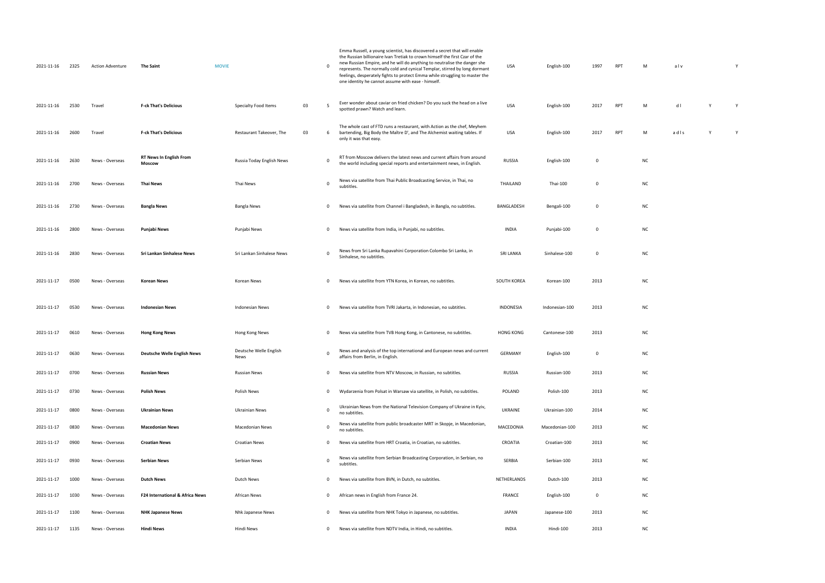| 2021-11-16 | 2325 | <b>Action Adventure</b> | <b>The Saint</b>                         | <b>MOVIE</b> |                                |    | 0              | Emma Russell, a young scientist, has discovered a secret that will enable<br>the Russian billionaire Ivan Tretiak to crown himself the first Czar of the<br>new Russian Empire, and he will do anything to neutralise the danger she<br>represents. The normally cold and cynical Templar, stirred by long dormant<br>feelings, desperately fights to protect Emma while struggling to master the<br>one identity he cannot assume with ease - himself. | USA              | English-100    | 1997        | RPT        | М         | alv  |
|------------|------|-------------------------|------------------------------------------|--------------|--------------------------------|----|----------------|---------------------------------------------------------------------------------------------------------------------------------------------------------------------------------------------------------------------------------------------------------------------------------------------------------------------------------------------------------------------------------------------------------------------------------------------------------|------------------|----------------|-------------|------------|-----------|------|
| 2021-11-16 | 2530 | Travel                  | <b>F-ck That's Delicious</b>             |              | Specialty Food Items           | 03 | -5             | Ever wonder about caviar on fried chicken? Do you suck the head on a live<br>spotted prawn? Watch and learn.                                                                                                                                                                                                                                                                                                                                            | <b>USA</b>       | English-100    | 2017        | <b>RPT</b> | М         | dl   |
| 2021-11-16 | 2600 | Travel                  | <b>F-ck That's Delicious</b>             |              | Restaurant Takeover, The       | 03 | 6              | The whole cast of FTD runs a restaurant, with Action as the chef, Meyhem<br>bartending, Big Body the Maître D', and The Alchemist waiting tables. If<br>only it was that easy.                                                                                                                                                                                                                                                                          | USA              | English-100    | 2017        | <b>RPT</b> | М         | adls |
| 2021-11-16 | 2630 | News - Overseas         | <b>RT News In English From</b><br>Moscow |              | Russia Today English News      |    | 0              | RT from Moscow delivers the latest news and current affairs from around<br>the world including special reports and entertainment news, in English.                                                                                                                                                                                                                                                                                                      | <b>RUSSIA</b>    | English-100    | $\mathbf 0$ |            | <b>NC</b> |      |
| 2021-11-16 | 2700 | News - Overseas         | Thai News                                |              | Thai News                      |    | 0              | News via satellite from Thai Public Broadcasting Service, in Thai, no<br>subtitles.                                                                                                                                                                                                                                                                                                                                                                     | THAILAND         | Thai-100       | $\mathbf 0$ |            | <b>NC</b> |      |
| 2021-11-16 | 2730 | News - Overseas         | <b>Bangla News</b>                       |              | Bangla News                    |    | 0              | News via satellite from Channel i Bangladesh, in Bangla, no subtitles.                                                                                                                                                                                                                                                                                                                                                                                  | BANGLADESH       | Bengali-100    | 0           |            | NC        |      |
| 2021-11-16 | 2800 | News - Overseas         | Punjabi News                             |              | Punjabi News                   |    | $\mathbf{0}$   | News via satellite from India, in Punjabi, no subtitles.                                                                                                                                                                                                                                                                                                                                                                                                | INDIA            | Punjabi-100    | 0           |            | <b>NC</b> |      |
| 2021-11-16 | 2830 | News - Overseas         | Sri Lankan Sinhalese News                |              | Sri Lankan Sinhalese News      |    | $\mathbf{0}$   | News from Sri Lanka Rupavahini Corporation Colombo Sri Lanka, in<br>Sinhalese, no subtitles.                                                                                                                                                                                                                                                                                                                                                            | <b>SRI LANKA</b> | Sinhalese-100  | $\mathbf 0$ |            | <b>NC</b> |      |
| 2021-11-17 | 0500 | News - Overseas         | Korean News                              |              | Korean News                    |    | $\mathbf{0}$   | News via satellite from YTN Korea, in Korean, no subtitles.                                                                                                                                                                                                                                                                                                                                                                                             | SOUTH KOREA      | Korean-100     | 2013        |            | NC        |      |
| 2021-11-17 | 0530 | News - Overseas         | <b>Indonesian News</b>                   |              | Indonesian News                |    | $\mathbf{0}$   | News via satellite from TVRI Jakarta, in Indonesian, no subtitles.                                                                                                                                                                                                                                                                                                                                                                                      | INDONESIA        | Indonesian-100 | 2013        |            | <b>NC</b> |      |
| 2021-11-17 | 0610 | News - Overseas         | <b>Hong Kong News</b>                    |              | Hong Kong News                 |    | $\mathbf{0}$   | News via satellite from TVB Hong Kong, in Cantonese, no subtitles.                                                                                                                                                                                                                                                                                                                                                                                      | <b>HONG KONG</b> | Cantonese-100  | 2013        |            | NC        |      |
| 2021-11-17 | 0630 | News - Overseas         | <b>Deutsche Welle English News</b>       |              | Deutsche Welle English<br>News |    | 0              | News and analysis of the top international and European news and current<br>affairs from Berlin, in English.                                                                                                                                                                                                                                                                                                                                            | GERMANY          | English-100    | 0           |            | <b>NC</b> |      |
| 2021-11-17 | 0700 | News - Overseas         | <b>Russian News</b>                      |              | Russian News                   |    | $\overline{0}$ | News via satellite from NTV Moscow, in Russian, no subtitles.                                                                                                                                                                                                                                                                                                                                                                                           | <b>RUSSIA</b>    | Russian-100    | 2013        |            | <b>NC</b> |      |
| 2021-11-17 | 0730 | News - Overseas         | <b>Polish News</b>                       |              | Polish News                    |    | $\mathbf{0}$   | Wydarzenia from Polsat in Warsaw via satellite, in Polish, no subtitles.                                                                                                                                                                                                                                                                                                                                                                                | POLAND           | Polish-100     | 2013        |            | <b>NC</b> |      |
| 2021-11-17 | 0800 | News - Overseas         | <b>Ukrainian News</b>                    |              | Ukrainian News                 |    | 0              | Ukrainian News from the National Television Company of Ukraine in Kyiv,<br>no subtitles.                                                                                                                                                                                                                                                                                                                                                                | <b>UKRAINE</b>   | Ukrainian-100  | 2014        |            | <b>NC</b> |      |
| 2021-11-17 | 0830 | News - Overseas         | <b>Macedonian News</b>                   |              | Macedonian News                |    | $\mathbf 0$    | News via satellite from public broadcaster MRT in Skopje, in Macedonian,<br>no subtitles.                                                                                                                                                                                                                                                                                                                                                               | MACEDONIA        | Macedonian-100 | 2013        |            | NC        |      |
| 2021-11-17 | 0900 | News - Overseas         | <b>Croatian News</b>                     |              | <b>Croatian News</b>           |    | $\mathbf{0}$   | News via satellite from HRT Croatia, in Croatian, no subtitles.                                                                                                                                                                                                                                                                                                                                                                                         | CROATIA          | Croatian-100   | 2013        |            | NC        |      |
| 2021-11-17 | 0930 | News - Overseas         | Serbian News                             |              | Serbian News                   |    | 0              | News via satellite from Serbian Broadcasting Corporation, in Serbian, no<br>subtitles.                                                                                                                                                                                                                                                                                                                                                                  | SERBIA           | Serbian-100    | 2013        |            | <b>NC</b> |      |
| 2021-11-17 | 1000 | News - Overseas         | Dutch News                               |              | Dutch News                     |    | $\mathbf{0}$   | News via satellite from BVN, in Dutch, no subtitles.                                                                                                                                                                                                                                                                                                                                                                                                    | NETHERLANDS      | Dutch-100      | 2013        |            | <b>NC</b> |      |
| 2021-11-17 | 1030 | News - Overseas         | F24 International & Africa News          |              | <b>African News</b>            |    | $\mathbf{0}$   | African news in English from France 24.                                                                                                                                                                                                                                                                                                                                                                                                                 | FRANCE           | English-100    | $\mathbf 0$ |            | <b>NC</b> |      |
| 2021-11-17 | 1100 | News - Overseas         | <b>NHK Japanese News</b>                 |              | Nhk Japanese News              |    | $\mathbf{0}$   | News via satellite from NHK Tokyo in Japanese, no subtitles.                                                                                                                                                                                                                                                                                                                                                                                            | JAPAN            | Japanese-100   | 2013        |            | <b>NC</b> |      |
| 2021-11-17 | 1135 | News - Overseas         | <b>Hindi News</b>                        |              | Hindi News                     |    | $\mathbf{0}$   | News via satellite from NDTV India, in Hindi, no subtitles.                                                                                                                                                                                                                                                                                                                                                                                             | INDIA            | Hindi-100      | 2013        |            | <b>NC</b> |      |

| M         | alv      |   | Y |  |
|-----------|----------|---|---|--|
| M         | $d \mid$ | Y | Y |  |
| M         | adls     | Υ | Y |  |
| NC        |          |   |   |  |
| NC        |          |   |   |  |
| NC        |          |   |   |  |
| NC        |          |   |   |  |
| NC        |          |   |   |  |
| NC        |          |   |   |  |
| <b>NC</b> |          |   |   |  |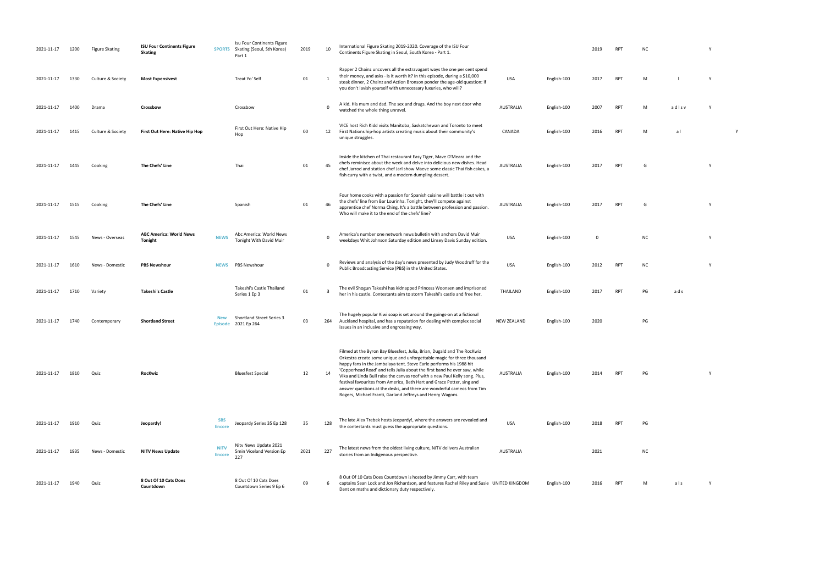| 2021-11-17 | 1200 | <b>Figure Skating</b> | <b>ISU Four Continents Figure</b><br><b>Skating</b> | <b>SPORTS</b>                | Isu Four Continents Figure<br>Skating (Seoul, Sth Korea)<br>Part 1 | 2019 | 10  | International Figure Skating 2019-2020. Coverage of the ISU Four<br>Continents Figure Skating in Seoul, South Korea - Part 1.                                                                                                                                                                                                                                                                                                                                                                                                                                                                          |                    |             | 2019 | <b>RPT</b> | N <sub>C</sub> |
|------------|------|-----------------------|-----------------------------------------------------|------------------------------|--------------------------------------------------------------------|------|-----|--------------------------------------------------------------------------------------------------------------------------------------------------------------------------------------------------------------------------------------------------------------------------------------------------------------------------------------------------------------------------------------------------------------------------------------------------------------------------------------------------------------------------------------------------------------------------------------------------------|--------------------|-------------|------|------------|----------------|
| 2021-11-17 | 1330 | Culture & Society     | <b>Most Expensivest</b>                             |                              | Treat Yo' Self                                                     | 01   |     | Rapper 2 Chainz uncovers all the extravagant ways the one per cent spend<br>their money, and asks - is it worth it? In this episode, during a \$10,000<br>steak dinner, 2 Chainz and Action Bronson ponder the age-old question: if<br>you don't lavish yourself with unnecessary luxuries, who will?                                                                                                                                                                                                                                                                                                  | USA                | English-100 | 2017 | <b>RPT</b> | M              |
| 2021-11-17 | 1400 | Drama                 | Crossbow                                            |                              | Crossbow                                                           |      | 0   | A kid. His mum and dad. The sex and drugs. And the boy next door who<br>watched the whole thing unravel.                                                                                                                                                                                                                                                                                                                                                                                                                                                                                               | <b>AUSTRALIA</b>   | English-100 | 2007 | <b>RPT</b> | M              |
| 2021-11-17 | 1415 | Culture & Society     | First Out Here: Native Hip Hop                      |                              | First Out Here: Native Hip<br>Hop                                  | 00   | 12  | VICE host Rich Kidd visits Manitoba, Saskatchewan and Toronto to meet<br>First Nations hip-hop artists creating music about their community's<br>unique struggles.                                                                                                                                                                                                                                                                                                                                                                                                                                     | CANADA             | English-100 | 2016 | <b>RPT</b> | M              |
| 2021-11-17 | 1445 | Cooking               | The Chefs' Line                                     |                              | Thai                                                               | 01   | 45  | Inside the kitchen of Thai restaurant Easy Tiger, Mave O'Meara and the<br>chefs reminisce about the week and delve into delicious new dishes. Head<br>chef Jarrod and station chef Jarl show Maeve some classic Thai fish cakes, a<br>fish curry with a twist, and a modern dumpling dessert.                                                                                                                                                                                                                                                                                                          | AUSTRALIA          | English-100 | 2017 | <b>RPT</b> | G              |
| 2021-11-17 | 1515 | Cooking               | The Chefs' Line                                     |                              | Spanish                                                            | 01   | 46  | Four home cooks with a passion for Spanish cuisine will battle it out with<br>the chefs' line from Bar Lourinha. Tonight, they'll compete against<br>apprentice chef Norma Ching. It's a battle between profession and passion.<br>Who will make it to the end of the chefs' line?                                                                                                                                                                                                                                                                                                                     | AUSTRALIA          | English-100 | 2017 | <b>RPT</b> | G              |
| 2021-11-17 | 1545 | News - Overseas       | <b>ABC America: World News</b><br>Tonight           | <b>NEWS</b>                  | Abc America: World News<br><b>Tonight With David Muir</b>          |      | 0   | America's number one network news bulletin with anchors David Muir<br>weekdays Whit Johnson Saturday edition and Linsey Davis Sunday edition.                                                                                                                                                                                                                                                                                                                                                                                                                                                          | <b>USA</b>         | English-100 | 0    |            |                |
| 2021-11-17 | 1610 | News - Domestic       | <b>PBS Newshour</b>                                 | <b>NEWS</b>                  | <b>PBS Newshour</b>                                                |      | 0   | Reviews and analysis of the day's news presented by Judy Woodruff for the<br>Public Broadcasting Service (PBS) in the United States.                                                                                                                                                                                                                                                                                                                                                                                                                                                                   | <b>USA</b>         | English-100 | 2012 | <b>RPT</b> | N0             |
| 2021-11-17 | 1710 | Variety               | <b>Takeshi's Castle</b>                             |                              | Takeshi's Castle Thailand<br>Series 1 Ep 3                         | 01   | 3   | The evil Shogun Takeshi has kidnapped Princess Woonsen and imprisoned<br>her in his castle. Contestants aim to storm Takeshi's castle and free her.                                                                                                                                                                                                                                                                                                                                                                                                                                                    | THAILAND           | English-100 | 2017 | <b>RPT</b> | PG             |
| 2021-11-17 | 1740 | Contemporary          | <b>Shortland Street</b>                             | <b>New</b><br><b>Episode</b> | Shortland Street Series 3<br>2021 Ep 264                           | 03   | 264 | The hugely popular Kiwi soap is set around the goings-on at a fictional<br>Auckland hospital, and has a reputation for dealing with complex social<br>issues in an inclusive and engrossing way.                                                                                                                                                                                                                                                                                                                                                                                                       | <b>NEW ZEALAND</b> | English-100 | 2020 |            |                |
| 2021-11-17 | 1810 | Quiz                  | <b>RocKwiz</b>                                      |                              | <b>Bluesfest Special</b>                                           | 12   | 14  | Filmed at the Byron Bay Bluesfest, Julia, Brian, Dugald and The RocKwiz<br>Orkestra create some unique and unforgettable magic for three thousand<br>happy fans in the Jambalaya tent. Steve Earle performs his 1988 hit<br>'Copperhead Road' and tells Julia about the first band he ever saw, while<br>Vika and Linda Bull raise the canvas roof with a new Paul Kelly song. Plus,<br>festival favourites from America, Beth Hart and Grace Potter, sing and<br>answer questions at the desks, and there are wonderful cameos from Tim<br>Rogers, Michael Franti, Garland Jeffreys and Henry Wagons. | <b>AUSTRALIA</b>   | English-100 | 2014 | <b>RPT</b> | PG             |
| 2021-11-17 | 1910 | Quiz                  | Jeopardy!                                           | <b>SBS</b><br><b>Encore</b>  | Jeopardy Series 35 Ep 128                                          | 35   | 128 | The late Alex Trebek hosts Jeopardy!, where the answers are revealed and<br>the contestants must guess the appropriate questions.                                                                                                                                                                                                                                                                                                                                                                                                                                                                      | <b>USA</b>         | English-100 | 2018 | <b>RPT</b> | PG             |
| 2021-11-17 | 1935 | News - Domestic       | <b>NITV News Update</b>                             | <b>NITV</b><br><b>Encore</b> | Nitv News Update 2021<br>5min Viceland Version Ep<br>227           | 2021 | 227 | The latest news from the oldest living culture, NITV delivers Australian<br>stories from an Indigenous perspective.                                                                                                                                                                                                                                                                                                                                                                                                                                                                                    | <b>AUSTRALIA</b>   |             | 2021 |            |                |
| 2021-11-17 | 1940 | Quiz                  | 8 Out Of 10 Cats Does<br>Countdown                  |                              | 8 Out Of 10 Cats Does<br>Countdown Series 9 Ep 6                   | 09   | 6   | 8 Out Of 10 Cats Does Countdown is hosted by Jimmy Carr, with team<br>captains Sean Lock and Jon Richardson, and features Rachel Riley and Susie UNITED KINGDOM<br>Dent on maths and dictionary duty respectively.                                                                                                                                                                                                                                                                                                                                                                                     |                    | English-100 | 2016 | <b>RPT</b> |                |

- $R$ PT NC  $Y$
- RPT M l Y
- whole thing the whole thing unravel. Also whole thing unravel. Also whole thing unravel. Also whole thing the <br>Thing unravel. Australia english-100 2007 RPT M and state the second whole the second whole the second whole t<br>
- RPT M al Y
- AUSTRALIA English-100 2017 RPT G Y
	-
- RPT G Y
- weekdays Whit Johnson Saturday edition and Linsey Davis Sunday edition. USA English-100 <sup>0</sup> NC <sup>Y</sup>
- PUBLIC BROADCASTING STATES. USA ENGLISH-100 2012 RPT NC Y
- her in his castle. Contestants and storm Takeshi in the storm Takeshi and storm Takeshi and for the storm Take<br>The storm Takeshi and storm Takeshi and storm Takeshi and for the storm Takeshi and storm Takeshi and storm Ta
- $PG$ 
	-
- AUSTRALIA English-100 2014 RPT PG Y
	-
	-
- $nc$
- RPT M als Y
- 
- 
- 
- 
- 
- 
- 
- 
- 
- 
- 
- 
- 
-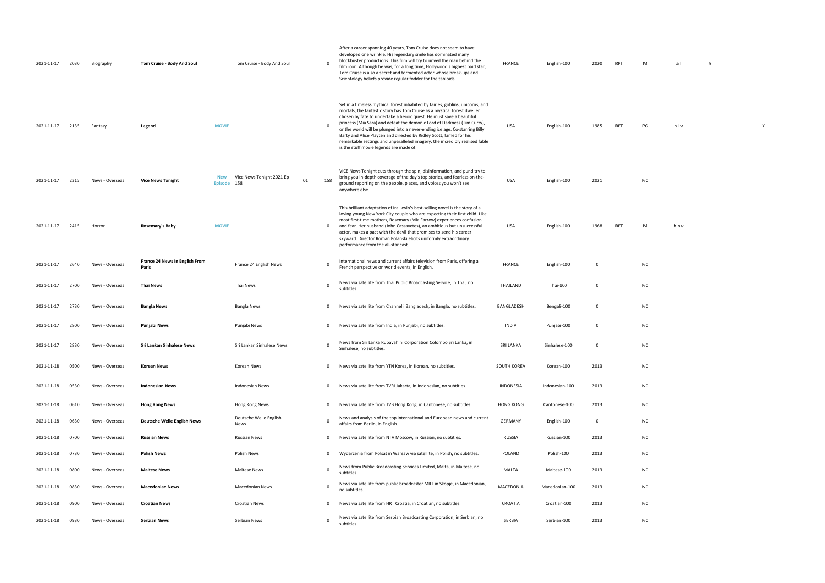| 2021-11-17 | 2030 | Biography       | Tom Cruise - Body And Soul              |                    | Tom Cruise - Body And Soul            |    | $\mathbf 0$ | After a career spanning 40 years, Tom Cruise does not seem to have<br>developed one wrinkle. His legendary smile has dominated many<br>blockbuster productions. This film will try to unveil the man behind the<br>film icon. Although he was, for a long time, Hollywood's highest paid star,<br>Tom Cruise is also a secret and tormented actor whose break-ups and<br>Scientology beliefs provide regular fodder for the tabloids.                                                                                                                                                          | <b>FRANCE</b>    | English-100    | 2020        | <b>RPT</b> | M         | al  | Y |
|------------|------|-----------------|-----------------------------------------|--------------------|---------------------------------------|----|-------------|------------------------------------------------------------------------------------------------------------------------------------------------------------------------------------------------------------------------------------------------------------------------------------------------------------------------------------------------------------------------------------------------------------------------------------------------------------------------------------------------------------------------------------------------------------------------------------------------|------------------|----------------|-------------|------------|-----------|-----|---|
| 2021-11-17 | 2135 | Fantasy         | Legend                                  | <b>MOVIE</b>       |                                       |    | $\mathbf 0$ | Set in a timeless mythical forest inhabited by fairies, goblins, unicorns, and<br>mortals, the fantastic story has Tom Cruise as a mystical forest dweller<br>chosen by fate to undertake a heroic quest. He must save a beautiful<br>princess (Mia Sara) and defeat the demonic Lord of Darkness (Tim Curry),<br>or the world will be plunged into a never-ending ice age. Co-starring Billy<br>Barty and Alice Playten and directed by Ridley Scott, famed for his<br>remarkable settings and unparalleled imagery, the incredibly realised fable<br>is the stuff movie legends are made of. | <b>USA</b>       | English-100    | 1985        | <b>RPT</b> | PG        | hlv |   |
| 2021-11-17 | 2315 | News - Overseas | <b>Vice News Tonight</b>                | New<br>Episode 158 | Vice News Tonight 2021 Ep             | 01 | 158         | VICE News Tonight cuts through the spin, disinformation, and punditry to<br>bring you in-depth coverage of the day's top stories, and fearless on-the-<br>ground reporting on the people, places, and voices you won't see<br>anywhere else.                                                                                                                                                                                                                                                                                                                                                   | <b>USA</b>       | English-100    | 2021        |            | <b>NC</b> |     |   |
| 2021-11-17 | 2415 | Horror          | Rosemary's Baby                         | <b>MOVIE</b>       |                                       |    | $\mathbf 0$ | This brilliant adaptation of Ira Levin's best-selling novel is the story of a<br>loving young New York City couple who are expecting their first child. Like<br>most first-time mothers, Rosemary (Mia Farrow) experiences confusion<br>and fear. Her husband (John Cassavetes), an ambitious but unsuccessful<br>actor, makes a pact with the devil that promises to send his career<br>skyward. Director Roman Polanski elicits uniformly extraordinary<br>performance from the all-star cast.                                                                                               | <b>USA</b>       | English-100    | 1968        | <b>RPT</b> | M         | hnv |   |
| 2021-11-17 | 2640 | News - Overseas | France 24 News In English From<br>Paris |                    | France 24 English News                |    | $\mathbf 0$ | International news and current affairs television from Paris, offering a<br>French perspective on world events, in English.                                                                                                                                                                                                                                                                                                                                                                                                                                                                    | FRANCE           | English-100    | $\Omega$    |            | <b>NC</b> |     |   |
| 2021-11-17 | 2700 | News - Overseas | <b>Thai News</b>                        |                    | Thai News                             |    | $\mathbf 0$ | News via satellite from Thai Public Broadcasting Service, in Thai, no<br>subtitles.                                                                                                                                                                                                                                                                                                                                                                                                                                                                                                            | THAILAND         | Thai-100       | $\Omega$    |            | <b>NC</b> |     |   |
| 2021-11-17 | 2730 | News - Overseas | <b>Bangla News</b>                      |                    | <b>Bangla News</b>                    |    | $\mathbf 0$ | News via satellite from Channel i Bangladesh, in Bangla, no subtitles.                                                                                                                                                                                                                                                                                                                                                                                                                                                                                                                         | BANGLADESH       | Bengali-100    | $\mathbf 0$ |            | <b>NC</b> |     |   |
| 2021-11-17 | 2800 | News - Overseas | Punjabi News                            |                    | Punjabi News                          |    | $\Omega$    | News via satellite from India, in Punjabi, no subtitles.                                                                                                                                                                                                                                                                                                                                                                                                                                                                                                                                       | <b>INDIA</b>     | Punjabi-100    | $\Omega$    |            | NC        |     |   |
| 2021-11-17 | 2830 | News - Overseas | Sri Lankan Sinhalese News               |                    | Sri Lankan Sinhalese News             |    | $\mathbf 0$ | News from Sri Lanka Rupavahini Corporation Colombo Sri Lanka, in<br>Sinhalese, no subtitles.                                                                                                                                                                                                                                                                                                                                                                                                                                                                                                   | SRI LANKA        | Sinhalese-100  | $\Omega$    |            | NC        |     |   |
| 2021-11-18 | 0500 | News - Overseas | <b>Korean News</b>                      |                    | Korean News                           |    | $\mathbf 0$ | News via satellite from YTN Korea, in Korean, no subtitles.                                                                                                                                                                                                                                                                                                                                                                                                                                                                                                                                    | SOUTH KOREA      | Korean-100     | 2013        |            | NC        |     |   |
| 2021-11-18 | 0530 | News - Overseas | <b>Indonesian News</b>                  |                    | <b>Indonesian News</b>                |    | $\mathbf 0$ | News via satellite from TVRI Jakarta, in Indonesian, no subtitles.                                                                                                                                                                                                                                                                                                                                                                                                                                                                                                                             | INDONESIA        | Indonesian-100 | 2013        |            | <b>NC</b> |     |   |
| 2021-11-18 | 0610 | News - Overseas | <b>Hong Kong News</b>                   |                    | Hong Kong News                        |    | $\mathbf 0$ | News via satellite from TVB Hong Kong, in Cantonese, no subtitles.                                                                                                                                                                                                                                                                                                                                                                                                                                                                                                                             | <b>HONG KONG</b> | Cantonese-100  | 2013        |            | NC        |     |   |
| 2021-11-18 | 0630 | News - Overseas | <b>Deutsche Welle English News</b>      |                    | Deutsche Welle English<br><b>News</b> |    | $\Omega$    | News and analysis of the top international and European news and current<br>affairs from Berlin, in English.                                                                                                                                                                                                                                                                                                                                                                                                                                                                                   | GERMANY          | English-100    | 0           |            | NC        |     |   |
| 2021-11-18 | 0700 | News - Overseas | <b>Russian News</b>                     |                    | <b>Russian News</b>                   |    | $\mathbf 0$ | News via satellite from NTV Moscow, in Russian, no subtitles.                                                                                                                                                                                                                                                                                                                                                                                                                                                                                                                                  | RUSSIA           | Russian-100    | 2013        |            | NC        |     |   |
| 2021-11-18 | 0730 | News - Overseas | Polish News                             |                    | Polish News                           |    | $\mathbf 0$ | Wydarzenia from Polsat in Warsaw via satellite, in Polish, no subtitles.                                                                                                                                                                                                                                                                                                                                                                                                                                                                                                                       | POLAND           | Polish-100     | 2013        |            | NC        |     |   |
| 2021-11-18 | 0800 | News - Overseas | <b>Maltese News</b>                     |                    | <b>Maltese News</b>                   |    | $\mathbf 0$ | News from Public Broadcasting Services Limited, Malta, in Maltese, no<br>subtitles.                                                                                                                                                                                                                                                                                                                                                                                                                                                                                                            | MALTA            | Maltese-100    | 2013        |            | NC        |     |   |
| 2021-11-18 | 0830 | News - Overseas | <b>Macedonian News</b>                  |                    | <b>Macedonian News</b>                |    | $\mathbf 0$ | News via satellite from public broadcaster MRT in Skopje, in Macedonian,<br>no subtitles.                                                                                                                                                                                                                                                                                                                                                                                                                                                                                                      | MACEDONIA        | Macedonian-100 | 2013        |            | <b>NC</b> |     |   |
| 2021-11-18 | 0900 | News - Overseas | <b>Croatian News</b>                    |                    | <b>Croatian News</b>                  |    | $\mathbf 0$ | News via satellite from HRT Croatia, in Croatian, no subtitles.                                                                                                                                                                                                                                                                                                                                                                                                                                                                                                                                | CROATIA          | Croatian-100   | 2013        |            | NC        |     |   |
| 2021-11-18 | 0930 | News - Overseas | Serbian News                            |                    | Serbian News                          |    | $\mathbf 0$ | News via satellite from Serbian Broadcasting Corporation, in Serbian, no<br>subtitles.                                                                                                                                                                                                                                                                                                                                                                                                                                                                                                         | SERBIA           | Serbian-100    | 2013        |            | NC        |     |   |

| $\mathsf{M}$  | a <sub>l</sub> | $\mathsf Y$ |             |
|---------------|----------------|-------------|-------------|
|               |                |             |             |
|               |                |             |             |
| $\mathsf{PG}$ | hlv            |             | $\mathsf Y$ |
|               |                |             |             |
|               |                |             |             |
| NC            |                |             |             |
|               |                |             |             |
| $\mathsf{M}$  | hnv            |             |             |
|               |                |             |             |
| NC            |                |             |             |
| NC            |                |             |             |
| NC            |                |             |             |
| NC            |                |             |             |
| NC            |                |             |             |
| <b>NC</b>     |                |             |             |
| NC            |                |             |             |
| NC            |                |             |             |
| NC            |                |             |             |
| NC            |                |             |             |
| NC<br>NC      |                |             |             |
| NC            |                |             |             |
| NC            |                |             |             |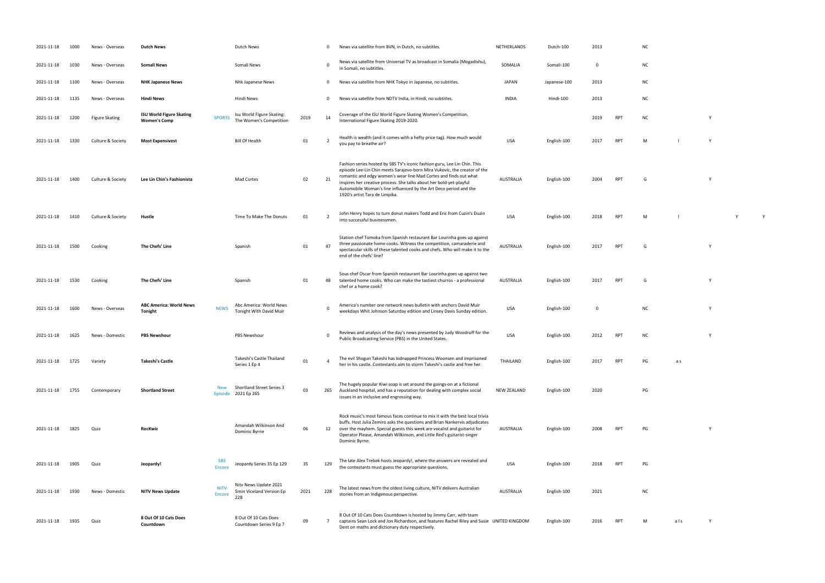- 
- 
- 
- 
- International Figure Skating 2019-2020. <sup>2019</sup> RPT NC <sup>Y</sup>
- you pay to breathe air? USA English-100 <sup>2017</sup> RPT <sup>M</sup> l Y
	-
	-
- into successful business with the successful business of the successful business of the successful business of<br>The successful business of the successful business of the successful business of the successful business of th<br>
	- RPT G Y
		-
- 2017 RPT G Y
	- which Johnson Saturday edition and Linsey Davis Sunday edition and Linsey Davis Sunday edition. USA English-100 O NC Y
	- PUBLIC BROADCASTING STATES. USA ENGLISH-100 2012 RPT NC Y
	- her in his castle. Contestants and free her. The storm Takeshijo and free her. The storm Takeshijo and free h<br>That is castle and free her. The storm Takeshijo and free her. The storm Takeshijo and free her. The storm Tak
	- $PG$
	- RPT PG Y
		-
	- the contestants must guess the appropriate questions. USA English-100 2018 RPT PG
	- $NC$
	- RPT M als Y
- 
- 
- 
- 
- 
- 
- 
- 
- 
- 
- 

| 2021-11-18 | 1000 | News - Overseas       | <b>Dutch News</b>                                      |                              | Dutch News                                               |      | 0              | News via satellite from BVN, in Dutch, no subtitles.                                                                                                                                                                                                                                                                                                                                                      | NETHERLANDS        | Dutch-100    | 2013        |            | NC.       |     |          |
|------------|------|-----------------------|--------------------------------------------------------|------------------------------|----------------------------------------------------------|------|----------------|-----------------------------------------------------------------------------------------------------------------------------------------------------------------------------------------------------------------------------------------------------------------------------------------------------------------------------------------------------------------------------------------------------------|--------------------|--------------|-------------|------------|-----------|-----|----------|
| 2021-11-18 | 1030 | News - Overseas       | <b>Somali News</b>                                     |                              | Somali News                                              |      | $\Omega$       | News via satellite from Universal TV as broadcast in Somalia (Mogadishu),<br>in Somali, no subtitles.                                                                                                                                                                                                                                                                                                     | SOMALIA            | Somali-100   | 0           |            | <b>NC</b> |     |          |
| 2021-11-18 | 1100 | News - Overseas       | <b>NHK Japanese News</b>                               |                              | Nhk Japanese News                                        |      | $\mathbf 0$    | News via satellite from NHK Tokyo in Japanese, no subtitles.                                                                                                                                                                                                                                                                                                                                              | JAPAN              | Japanese-100 | 2013        |            | <b>NC</b> |     |          |
| 2021-11-18 | 1135 | News - Overseas       | <b>Hindi News</b>                                      |                              | Hindi News                                               |      | $\mathbf 0$    | News via satellite from NDTV India, in Hindi, no subtitles.                                                                                                                                                                                                                                                                                                                                               | <b>INDIA</b>       | Hindi-100    | 2013        |            | <b>NC</b> |     |          |
| 2021-11-18 | 1200 | <b>Figure Skating</b> | <b>ISU World Figure Skating</b><br><b>Women's Comp</b> | <b>SPORTS</b>                | Isu World Figure Skating:<br>The Women's Competition     | 2019 | 14             | Coverage of the ISU World Figure Skating Women's Competition.<br>International Figure Skating 2019-2020.                                                                                                                                                                                                                                                                                                  |                    |              | 2019        | RPT        | <b>NC</b> |     | v        |
| 2021-11-18 | 1330 | Culture & Society     | <b>Most Expensivest</b>                                |                              | <b>Bill Of Health</b>                                    | 01   | 2              | Health is wealth (and it comes with a hefty price tag). How much would<br>you pay to breathe air?                                                                                                                                                                                                                                                                                                         | <b>USA</b>         | English-100  | 2017        | RPT        | M         |     | <b>V</b> |
| 2021-11-18 | 1400 | Culture & Society     | Lee Lin Chin's Fashionista                             |                              | Mad Cortes                                               | 02   | 21             | Fashion series hosted by SBS TV's iconic fashion guru, Lee Lin Chin. This<br>episode Lee-Lin Chin meets Sarajevo-born Mira Vukovic, the creator of the<br>romantic and edgy women's wear line Mad Cortes and finds out what<br>inspires her creative process. She talks about her bold-yet-playful<br>Automobile Woman's line influenced by the Art Deco period and the<br>1920's artist Tara de Limpika. | AUSTRALIA          | English-100  | 2004        | RPT        | G         |     |          |
| 2021-11-18 | 1410 | Culture & Society     | Hustle                                                 |                              | Time To Make The Donuts                                  | 01   | $\overline{2}$ | John Henry hopes to turn donut makers Todd and Eric from Cuzin's Duzin<br>into successful businessmen.                                                                                                                                                                                                                                                                                                    | <b>USA</b>         | English-100  | 2018        | <b>RPT</b> | M         |     |          |
| 2021-11-18 | 1500 | Cooking               | The Chefs' Line                                        |                              | Spanish                                                  | 01   | 47             | Station chef Tomoka from Spanish restaurant Bar Lourinha goes up against<br>three passionate home cooks. Witness the competition, camaraderie and<br>spectacular skills of these talented cooks and chefs. Who will make it to the<br>end of the chefs' line?                                                                                                                                             | AUSTRALIA          | English-100  | 2017        | RPT        | G         |     | v        |
| 2021-11-18 | 1530 | Cooking               | The Chefs' Line                                        |                              | Spanish                                                  | 01   | 48             | Sous chef Oscar from Spanish restaurant Bar Lourinha goes up against two<br>talented home cooks. Who can make the tastiest churros - a professional<br>chef or a home cook?                                                                                                                                                                                                                               | <b>AUSTRALIA</b>   | English-100  | 2017        | <b>RPT</b> | G         |     |          |
| 2021-11-18 | 1600 | News - Overseas       | <b>ABC America: World News</b><br>Tonight              | <b>NEWS</b>                  | Abc America: World News<br>Tonight With David Muir       |      | $\Omega$       | America's number one network news bulletin with anchors David Muir<br>weekdays Whit Johnson Saturday edition and Linsey Davis Sunday edition.                                                                                                                                                                                                                                                             | USA                | English-100  | $\mathbf 0$ |            | <b>NC</b> |     | v        |
| 2021-11-18 | 1625 | News - Domestic       | <b>PBS Newshour</b>                                    |                              | <b>PBS Newshour</b>                                      |      | 0              | Reviews and analysis of the day's news presented by Judy Woodruff for the<br>Public Broadcasting Service (PBS) in the United States.                                                                                                                                                                                                                                                                      | USA                | English-100  | 2012        | RPT        | <b>NC</b> |     | Y        |
| 2021-11-18 | 1725 | Variety               | <b>Takeshi's Castle</b>                                |                              | Takeshi's Castle Thailand<br>Series 1 Ep 4               | 01   |                | The evil Shogun Takeshi has kidnapped Princess Woonsen and imprisoned<br>her in his castle. Contestants aim to storm Takeshi's castle and free her.                                                                                                                                                                                                                                                       | THAILAND           | English-100  | 2017        | RP1        | PG        | a s |          |
| 2021-11-18 | 1755 | Contemporary          | <b>Shortland Street</b>                                | <b>Episode</b>               | <b>Shortland Street Series 3</b><br>2021 Ep 265          | 03   | 265            | The hugely popular Kiwi soap is set around the goings-on at a fictional<br>Auckland hospital, and has a reputation for dealing with complex social<br>issues in an inclusive and engrossing way.                                                                                                                                                                                                          | <b>NEW ZEALAND</b> | English-100  | 2020        |            | PG        |     |          |
| 2021-11-18 | 1825 | Quiz                  | <b>RocKwiz</b>                                         |                              | Amandah Wilkinson And<br>Dominic Byrne                   | 06   | 12             | Rock music's most famous faces continue to mix it with the best local trivia<br>buffs. Host Julia Zemiro asks the questions and Brian Nankervis adjudicates<br>over the mayhem. Special guests this week are vocalist and guitarist for<br>Operator Please, Amandah Wilkinson, and Little Red's guitarist-singer<br>Dominic Byrne.                                                                        | AUSTRALIA          | English-100  | 2008        | <b>RPT</b> | PG        |     |          |
| 2021-11-18 | 1905 | Quiz                  | Jeopardy!                                              | <b>SBS</b><br><b>Encore</b>  | Jeopardy Series 35 Ep 129                                | 35   | 129            | The late Alex Trebek hosts Jeopardy!, where the answers are revealed and<br>the contestants must guess the appropriate questions.                                                                                                                                                                                                                                                                         | USA                | English-100  | 2018        | RPT        | PG        |     |          |
| 2021-11-18 | 1930 | News - Domestic       | <b>NITV News Update</b>                                | <b>NITV</b><br><b>Encore</b> | Nitv News Update 2021<br>5min Viceland Version Ep<br>228 | 2021 | 228            | The latest news from the oldest living culture, NITV delivers Australian<br>stories from an Indigenous perspective.                                                                                                                                                                                                                                                                                       | AUSTRALIA          | English-100  | 2021        |            | <b>NC</b> |     |          |
| 2021-11-18 | 1935 | Quiz                  | 8 Out Of 10 Cats Does<br>Countdown                     |                              | 8 Out Of 10 Cats Does<br>Countdown Series 9 Ep 7         | 09   | 7              | 8 Out Of 10 Cats Does Countdown is hosted by Jimmy Carr, with team<br>captains Sean Lock and Jon Richardson, and features Rachel Riley and Susie UNITED KINGDOM<br>Dent on maths and dictionary duty respectively.                                                                                                                                                                                        |                    | English-100  | 2016        | RPT        | M         | als | Y        |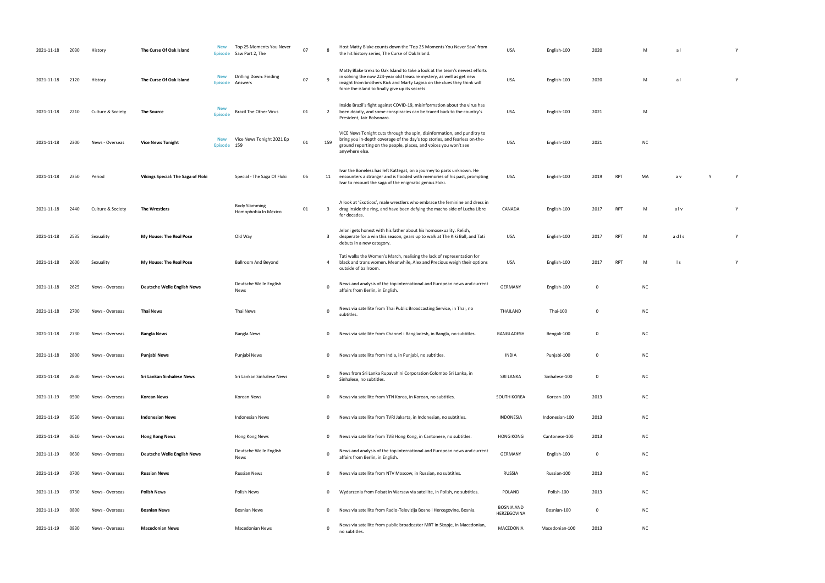| M          | a l | Υ |
|------------|-----|---|
| M          | a l | Υ |
|            |     |   |
| M          |     |   |
|            |     |   |
| ${\sf NC}$ |     |   |

| MA | a v | Υ | Y |
|----|-----|---|---|
|    |     |   |   |

PT M ad l s Y

PH M ls Y

| 2021-11-18 | 2030 | History           | The Curse Of Oak Island            | <b>New</b><br>Episode        | Top 25 Moments You Never<br>Saw Part 2, The  | 07 |                | Host Matty Blake counts down the 'Top 25 Moments You Never Saw' from<br>the hit history series, The Curse of Oak Island.                                                                                                                                                            | <b>USA</b>                       | English-100    | 2020        |            |           | a              |  |
|------------|------|-------------------|------------------------------------|------------------------------|----------------------------------------------|----|----------------|-------------------------------------------------------------------------------------------------------------------------------------------------------------------------------------------------------------------------------------------------------------------------------------|----------------------------------|----------------|-------------|------------|-----------|----------------|--|
| 2021-11-18 | 2120 | History           | The Curse Of Oak Island            | <b>New</b><br><b>Episode</b> | Drilling Down: Finding<br>Answers            | 07 |                | Matty Blake treks to Oak Island to take a look at the team's newest efforts<br>in solving the now 224-year old treasure mystery, as well as get new<br>insight from brothers Rick and Marty Lagina on the clues they think will<br>force the island to finally give up its secrets. | <b>USA</b>                       | English-100    | 2020        |            | M         | al             |  |
| 2021-11-18 | 2210 | Culture & Society | <b>The Source</b>                  | <b>New</b><br><b>Episode</b> | Brazil The Other Virus                       | 01 | $\overline{2}$ | Inside Brazil's fight against COVID-19, misinformation about the virus has<br>been deadly, and some conspiracies can be traced back to the country's<br>President, Jair Bolsonaro.                                                                                                  | USA                              | English-100    | 2021        |            | М         |                |  |
| 2021-11-18 | 2300 | News - Overseas   | <b>Vice News Tonight</b>           | <b>New</b><br>Episode        | Vice News Tonight 2021 Ep<br>159             | 01 | 159            | VICE News Tonight cuts through the spin, disinformation, and punditry to<br>bring you in-depth coverage of the day's top stories, and fearless on-the-<br>ground reporting on the people, places, and voices you won't see<br>anywhere else.                                        | USA                              | English-100    | 2021        |            | <b>NC</b> |                |  |
| 2021-11-18 | 2350 | Period            | Vikings Special: The Saga of Floki |                              | Special - The Saga Of Floki                  | 06 | 11             | Ivar the Boneless has left Kattegat, on a journey to parts unknown. He<br>encounters a stranger and is flooded with memories of his past, prompting<br>Ivar to recount the saga of the enigmatic genius Floki.                                                                      | USA                              | English-100    | 2019        | <b>RPT</b> | MA        | a v            |  |
| 2021-11-18 | 2440 | Culture & Society | The Wrestlers                      |                              | <b>Body Slamming</b><br>Homophobia In Mexico | 01 | -3             | A look at 'Exoticos', male wrestlers who embrace the feminine and dress in<br>drag inside the ring, and have been defying the macho side of Lucha Libre<br>for decades.                                                                                                             | CANADA                           | English-100    | 2017        | <b>RPT</b> | M         | alv            |  |
| 2021-11-18 | 2535 | Sexuality         | My House: The Real Pose            |                              | Old Way                                      |    | 3              | Jelani gets honest with his father about his homosexuality. Relish,<br>desperate for a win this season, gears up to walk at The Kiki Ball, and Tati<br>debuts in a new category.                                                                                                    | USA                              | English-100    | 2017        | <b>RPT</b> | M         | adls           |  |
| 2021-11-18 | 2600 | Sexuality         | My House: The Real Pose            |                              | <b>Ballroom And Beyond</b>                   |    | $\overline{a}$ | Tati walks the Women's March, realising the lack of representation for<br>black and trans women. Meanwhile, Alex and Precious weigh their options<br>outside of ballroom.                                                                                                           | USA                              | English-100    | 2017        | <b>RPT</b> | M         | $\mathsf{I}$ s |  |
| 2021-11-18 | 2625 | News - Overseas   | <b>Deutsche Welle English News</b> |                              | Deutsche Welle English<br>News               |    | $\Omega$       | News and analysis of the top international and European news and current<br>affairs from Berlin, in English.                                                                                                                                                                        | <b>GERMANY</b>                   | English-100    | 0           |            | <b>NC</b> |                |  |
| 2021-11-18 | 2700 | News - Overseas   | Thai News                          |                              | Thai News                                    |    | $\Omega$       | News via satellite from Thai Public Broadcasting Service, in Thai, no<br>subtitles.                                                                                                                                                                                                 | THAILAND                         | Thai-100       | $\mathbf 0$ |            | <b>NC</b> |                |  |
| 2021-11-18 | 2730 | News - Overseas   | <b>Bangla News</b>                 |                              | Bangla News                                  |    | 0              | News via satellite from Channel i Bangladesh, in Bangla, no subtitles.                                                                                                                                                                                                              | BANGLADESH                       | Bengali-100    | 0           |            | <b>NC</b> |                |  |
| 2021-11-18 | 2800 | News - Overseas   | Punjabi News                       |                              | Punjabi News                                 |    | $\mathbf{0}$   | News via satellite from India, in Punjabi, no subtitles.                                                                                                                                                                                                                            | INDIA                            | Punjabi-100    | 0           |            | <b>NC</b> |                |  |
| 2021-11-18 | 2830 | News - Overseas   | Sri Lankan Sinhalese News          |                              | Sri Lankan Sinhalese News                    |    | $\mathbf 0$    | News from Sri Lanka Rupavahini Corporation Colombo Sri Lanka, in<br>Sinhalese, no subtitles.                                                                                                                                                                                        | <b>SRI LANKA</b>                 | Sinhalese-100  | $\mathbf 0$ |            | <b>NC</b> |                |  |
| 2021-11-19 | 0500 | News - Overseas   | <b>Korean News</b>                 |                              | Korean News                                  |    | $\mathbf 0$    | News via satellite from YTN Korea, in Korean, no subtitles.                                                                                                                                                                                                                         | SOUTH KOREA                      | Korean-100     | 2013        |            | <b>NC</b> |                |  |
| 2021-11-19 | 0530 | News - Overseas   | <b>Indonesian News</b>             |                              | Indonesian News                              |    | $\mathbf 0$    | News via satellite from TVRI Jakarta, in Indonesian, no subtitles.                                                                                                                                                                                                                  | <b>INDONESIA</b>                 | Indonesian-100 | 2013        |            | <b>NC</b> |                |  |
| 2021-11-19 | 0610 | News - Overseas   | <b>Hong Kong News</b>              |                              | Hong Kong News                               |    | $\mathbf{0}$   | News via satellite from TVB Hong Kong, in Cantonese, no subtitles.                                                                                                                                                                                                                  | <b>HONG KONG</b>                 | Cantonese-100  | 2013        |            | <b>NC</b> |                |  |
| 2021-11-19 | 0630 | News - Overseas   | <b>Deutsche Welle English News</b> |                              | Deutsche Welle English<br>News               |    | 0              | News and analysis of the top international and European news and current<br>affairs from Berlin, in English.                                                                                                                                                                        | <b>GERMANY</b>                   | English-100    | 0           |            | <b>NC</b> |                |  |
| 2021-11-19 | 0700 | News - Overseas   | <b>Russian News</b>                |                              | <b>Russian News</b>                          |    | 0              | News via satellite from NTV Moscow, in Russian, no subtitles.                                                                                                                                                                                                                       | RUSSIA                           | Russian-100    | 2013        |            | <b>NC</b> |                |  |
| 2021-11-19 | 0730 | News - Overseas   | Polish News                        |                              | Polish News                                  |    | $\mathbf 0$    | Wydarzenia from Polsat in Warsaw via satellite, in Polish, no subtitles.                                                                                                                                                                                                            | POLAND                           | Polish-100     | 2013        |            | <b>NC</b> |                |  |
| 2021-11-19 | 0800 | News - Overseas   | Bosnian News                       |                              | <b>Bosnian News</b>                          |    | $\Omega$       | News via satellite from Radio-Televizija Bosne i Hercegovine, Bosnia.                                                                                                                                                                                                               | <b>BOSNIA AND</b><br>HERZEGOVINA | Bosnian-100    | 0           |            | <b>NC</b> |                |  |
| 2021-11-19 | 0830 | News - Overseas   | <b>Macedonian News</b>             |                              | <b>Macedonian News</b>                       |    | $\Omega$       | News via satellite from public broadcaster MRT in Skopje, in Macedonian,<br>no subtitles.                                                                                                                                                                                           | MACEDONIA                        | Macedonian-100 | 2013        |            | <b>NC</b> |                |  |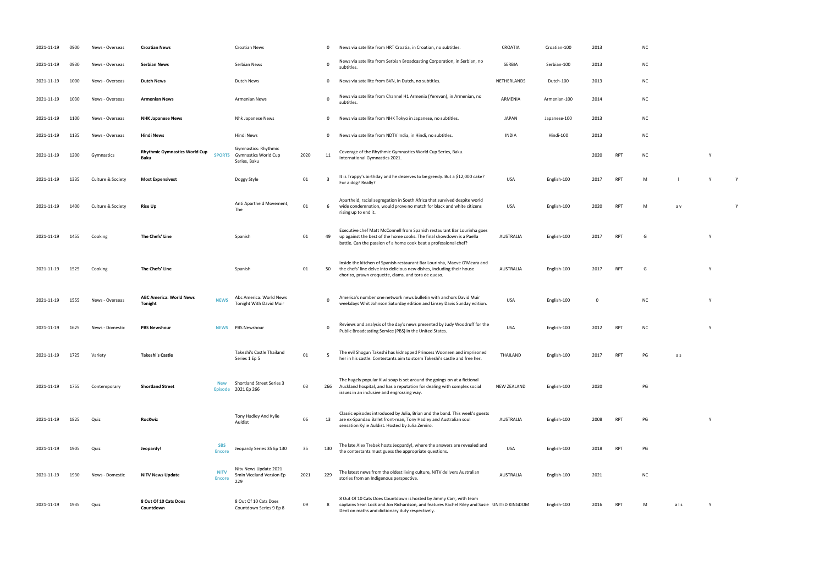- 
- 
- 
- 
- 
- 
- International Gymnastics 2021. <sup>2020</sup> RPT NC <sup>Y</sup>
- For a dog? Really? USA English-100 <sup>2017</sup> RPT <sup>M</sup> l Y <sup>Y</sup>
- USA English-100 2020 RPT M a v Y
- AUSTRALIA English-100 2017 RPT G Y
	-
- RPT G Y
- white Johnson Saturday edition and Linsey Davis Sunday edition and Linsey Davis Sunday edition. USA English-100 O NC Young Davis Sunday edition. USA English-100 O NC Young Davis Sunday edition. USA English-100 O NC Young D
- PUBLIC BROADCASTING STATES. USA ENGLISH-100 2012 RPT NC Y
- her in his castle. Contestants and free her. The storm Takeshijo and free her. The storm Takeshijo and free h<br>That is castle and free her. The storm Takeshijo and free her. The storm Takeshijo and free her. The storm Tak
- $PG$
- AUSTRALIA ENGLISH-100 2008 RPT PG Y
- the contestants must guess the appropriate questions. USA English-100 2018 RPT PG
- $NC$
- RPT M als Y

| 2021-11-19 | 0900 | News - Overseas   | <b>Croatian News</b>                         |                              | <b>Croatian News</b>                                                |      | - 0         | News via satellite from HRT Croatia, in Croatian, no subtitles.                                                                                                                                                      | CROATIA            | Croatian-100 | 2013        |            | N0 |
|------------|------|-------------------|----------------------------------------------|------------------------------|---------------------------------------------------------------------|------|-------------|----------------------------------------------------------------------------------------------------------------------------------------------------------------------------------------------------------------------|--------------------|--------------|-------------|------------|----|
| 2021-11-19 | 0930 | News - Overseas   | <b>Serbian News</b>                          |                              | Serbian News                                                        |      | $\Omega$    | News via satellite from Serbian Broadcasting Corporation, in Serbian, no<br>subtitles.                                                                                                                               | SERBIA             | Serbian-100  | 2013        |            | NO |
| 2021-11-19 | 1000 | News - Overseas   | <b>Dutch News</b>                            |                              | Dutch News                                                          |      | $\mathbf 0$ | News via satellite from BVN, in Dutch, no subtitles.                                                                                                                                                                 | <b>NETHERLANDS</b> | Dutch-100    | 2013        |            | NO |
| 2021-11-19 | 1030 | News - Overseas   | <b>Armenian News</b>                         |                              | <b>Armenian News</b>                                                |      | $\Omega$    | News via satellite from Channel H1 Armenia (Yerevan), in Armenian, no<br>subtitles.                                                                                                                                  | ARMENIA            | Armenian-100 | 2014        |            | N0 |
| 2021-11-19 | 1100 | News - Overseas   | <b>NHK Japanese News</b>                     |                              | Nhk Japanese News                                                   |      | 0           | News via satellite from NHK Tokyo in Japanese, no subtitles.                                                                                                                                                         | <b>JAPAN</b>       | Japanese-100 | 2013        |            | N0 |
| 2021-11-19 | 1135 | News - Overseas   | <b>Hindi News</b>                            |                              | Hindi News                                                          |      | 0           | News via satellite from NDTV India, in Hindi, no subtitles.                                                                                                                                                          | <b>INDIA</b>       | Hindi-100    | 2013        |            | N0 |
| 2021-11-19 | 1200 | Gymnastics        | <b>Rhythmic Gymnastics World Cup</b><br>Baku | <b>SPORTS</b>                | Gymnastics: Rhythmic<br><b>Gymnastics World Cup</b><br>Series, Baku | 2020 | 11          | Coverage of the Rhythmic Gymnastics World Cup Series, Baku.<br>International Gymnastics 2021.                                                                                                                        |                    |              | 2020        | <b>RPT</b> | N0 |
| 2021-11-19 | 1335 | Culture & Society | <b>Most Expensivest</b>                      |                              | Doggy Style                                                         | 01   | -3          | It is Trappy's birthday and he deserves to be greedy. But a \$12,000 cake?<br>For a dog? Really?                                                                                                                     | <b>USA</b>         | English-100  | 2017        | <b>RPT</b> | M  |
| 2021-11-19 | 1400 | Culture & Society | <b>Rise Up</b>                               |                              | Anti Apartheid Movement,<br>The                                     | 01   | -6          | Apartheid, racial segregation in South Africa that survived despite world<br>wide condemnation, would prove no match for black and white citizens<br>rising up to end it.                                            | <b>USA</b>         | English-100  | 2020        | <b>RPT</b> | M  |
| 2021-11-19 | 1455 | Cooking           | The Chefs' Line                              |                              | Spanish                                                             | 01   | 49          | Executive chef Matt McConnell from Spanish restaurant Bar Lourinha goes<br>up against the best of the home cooks. The final showdown is a Paella<br>battle. Can the passion of a home cook beat a professional chef? | AUSTRALIA          | English-100  | 2017        | <b>RPT</b> | G  |
| 2021-11-19 | 1525 | Cooking           | The Chefs' Line                              |                              | Spanish                                                             | 01   | 50          | Inside the kitchen of Spanish restaurant Bar Lourinha, Maeve O'Meara and<br>the chefs' line delve into delicious new dishes, including their house<br>chorizo, prawn croquette, clams, and tora de queso.            | AUSTRALIA          | English-100  | 2017        | <b>RPT</b> | G  |
| 2021-11-19 | 1555 | News - Overseas   | <b>ABC America: World News</b><br>Tonight    | <b>NEWS</b>                  | Abc America: World News<br>Tonight With David Muir                  |      | $\Omega$    | America's number one network news bulletin with anchors David Muir<br>weekdays Whit Johnson Saturday edition and Linsey Davis Sunday edition.                                                                        | <b>USA</b>         | English-100  | $\mathbf 0$ |            | N0 |
| 2021-11-19 | 1625 | News - Domestic   | <b>PBS Newshour</b>                          | <b>NEWS</b>                  | PBS Newshour                                                        |      | - 0         | Reviews and analysis of the day's news presented by Judy Woodruff for the<br>Public Broadcasting Service (PBS) in the United States.                                                                                 | <b>USA</b>         | English-100  | 2012        | <b>RPT</b> | N0 |
| 2021-11-19 | 1725 | Variety           | Takeshi's Castle                             |                              | Takeshi's Castle Thailand<br>Series 1 Ep 5                          | 01   |             | The evil Shogun Takeshi has kidnapped Princess Woonsen and imprisoned<br>her in his castle. Contestants aim to storm Takeshi's castle and free her.                                                                  | THAILAND           | English-100  | 2017        | <b>RPT</b> | PG |
| 2021-11-19 | 1755 | Contemporary      | <b>Shortland Street</b>                      | <b>New</b><br><b>Episode</b> | Shortland Street Series 3<br>2021 Ep 266                            | 03   | 266         | The hugely popular Kiwi soap is set around the goings-on at a fictional<br>Auckland hospital, and has a reputation for dealing with complex social<br>issues in an inclusive and engrossing way.                     | <b>NEW ZEALAND</b> | English-100  | 2020        |            | PG |
| 2021-11-19 | 1825 | Quiz              | <b>RocKwiz</b>                               |                              | Tony Hadley And Kylie<br>Auldist                                    | 06   | 13          | Classic episodes introduced by Julia, Brian and the band. This week's guests<br>are ex-Spandau Ballet front-man, Tony Hadley and Australian soul<br>sensation Kylie Auldist. Hosted by Julia Zemiro.                 | AUSTRALIA          | English-100  | 2008        | <b>RPT</b> | PG |
| 2021-11-19 | 1905 | Quiz              | Jeopardy!                                    | <b>SBS</b><br><b>Encore</b>  | Jeopardy Series 35 Ep 130                                           | 35   | 130         | The late Alex Trebek hosts Jeopardy!, where the answers are revealed and<br>the contestants must guess the appropriate questions.                                                                                    | <b>USA</b>         | English-100  | 2018        | <b>RPT</b> | PG |
| 2021-11-19 | 1930 | News - Domestic   | <b>NITV News Update</b>                      | <b>NITV</b><br><b>Encore</b> | Nity News Update 2021<br>5min Viceland Version Ep<br>229            | 2021 | 229         | The latest news from the oldest living culture, NITV delivers Australian<br>stories from an Indigenous perspective.                                                                                                  | AUSTRALIA          | English-100  | 2021        |            | N0 |
| 2021-11-19 | 1935 | Quiz              | 8 Out Of 10 Cats Does<br>Countdown           |                              | 8 Out Of 10 Cats Does<br>Countdown Series 9 Ep 8                    | 09   | 8           | 8 Out Of 10 Cats Does Countdown is hosted by Jimmy Carr, with team<br>captains Sean Lock and Jon Richardson, and features Rachel Riley and Susie UNITED KINGDOM<br>Dent on maths and dictionary duty respectively.   |                    | English-100  | 2016        | <b>RPT</b> | M  |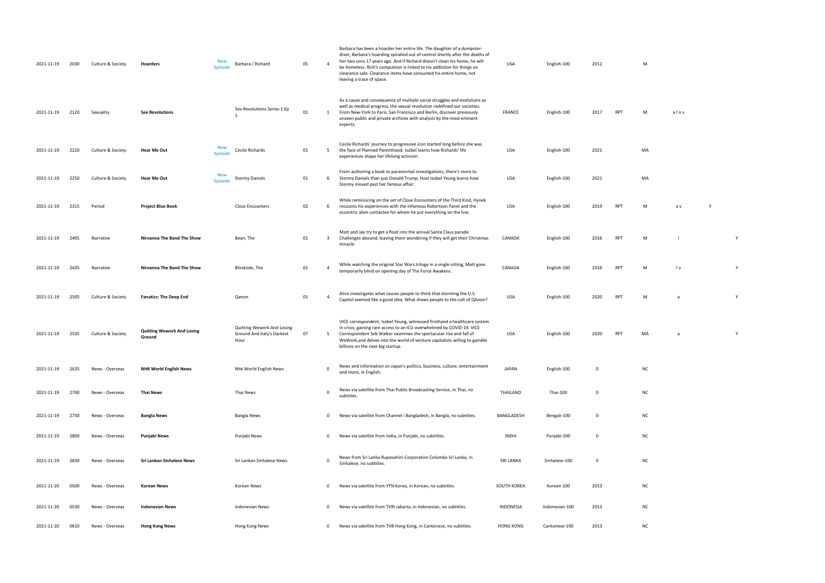| 2021-11-19 | 2030 | Culture & Society | Hoarders                                    | <b>New</b><br>Barbara / Richard<br><b>Episode</b>                | 05 | $\overline{4}$ | Barbara has been a hoarder her entire life. The daughter of a dumpster-<br>diver, Barbara's hoarding spiralled out of control shortly after the deaths of<br>her two sons 17 years ago. And if Richard doesn't clean his home, he will<br>be homeless. Rich's compulsion is linked to his addiction for things on<br>clearance sale. Clearance items have consumed his entire home, not<br>leaving a trace of space. | USA              | English-100    | 2012        |            | M         |                |              |
|------------|------|-------------------|---------------------------------------------|------------------------------------------------------------------|----|----------------|----------------------------------------------------------------------------------------------------------------------------------------------------------------------------------------------------------------------------------------------------------------------------------------------------------------------------------------------------------------------------------------------------------------------|------------------|----------------|-------------|------------|-----------|----------------|--------------|
| 2021-11-19 | 2120 | Sexuality         | <b>Sex Revolutions</b>                      | Sex Revolutions Series 1 Ep<br>$\mathbf{1}$                      | 01 | 1              | As a cause and consequence of multiple social struggles and evolutions as<br>well as medical progress, the sexual revolution redefined our societies.<br>From New-York to Paris, San Francisco and Berlin, discover previously<br>unseen public and private archives with analysis by the most eminent<br>experts.                                                                                                   | FRANCE           | English-100    | 2017        | <b>RPT</b> | M         | alns           |              |
| 2021-11-19 | 2220 | Culture & Society | <b>Hear Me Out</b>                          | <b>New</b><br>Cecile Richards<br><b>Episode</b>                  | 01 | 5              | Cecile Richards' journey to progressive icon started long before she was<br>the face of Planned Parenthood. Isobel learns how Richards' life<br>experiences shape her lifelong activism.                                                                                                                                                                                                                             | USA              | English-100    | 2021        |            | MA        |                |              |
| 2021-11-19 | 2250 | Culture & Society | <b>Hear Me Out</b>                          | <b>New</b><br><b>Stormy Daniels</b><br><b>Episode</b>            | 01 | 6              | From authoring a book to paranormal investigations, there's more to<br>Stormy Daniels than just Donald Trump. Host Isobel Yeung learns how<br>Stormy moved past her famous affair.                                                                                                                                                                                                                                   | USA              | English-100    | 2021        |            | MA        |                |              |
| 2021-11-19 | 2315 | Period            | <b>Project Blue Book</b>                    | <b>Close Encounters</b>                                          | 02 | 6              | While reminiscing on the set of Close Encounters of the Third Kind, Hynek<br>recounts his experiences with the infamous Robertson Panel and the<br>eccentric alien contactee for whom he put everything on the line.                                                                                                                                                                                                 | USA              | English-100    | 2019        | <b>RPT</b> | M         | a v            |              |
| 2021-11-19 | 2405 | Narrative         | Nirvanna The Band The Show                  | Bean, The                                                        | 01 | $\overline{3}$ | Matt and Jay try to get a float into the annual Santa Claus parade.<br>Challenges abound, leaving them wondering if they will get their Christmas<br>miracle.                                                                                                                                                                                                                                                        | CANADA           | English-100    | 2016        | <b>RPT</b> | M         |                | Y            |
| 2021-11-19 | 2435 | Narrative         | Nirvanna The Band The Show                  | Blindside, The                                                   | 01 | $\overline{4}$ | While watching the original Star Wars trilogy in a single sitting, Matt goes<br>temporarily blind on opening day of The Force Awakens.                                                                                                                                                                                                                                                                               | CANADA           | English-100    | 2016        | <b>RPT</b> | M         | l v            | $\mathsf{Y}$ |
| 2021-11-19 | 2505 | Culture & Society | <b>Fanatics: The Deep End</b>               | Qanon                                                            | 01 | $\overline{4}$ | Alice investigates what causes people to think that storming the U.S.<br>Capitol seemed like a good idea. What draws people to the cult of QAnon?                                                                                                                                                                                                                                                                    | USA              | English-100    | 2020        | <b>RPT</b> | M         | $\overline{a}$ | $\mathsf{Y}$ |
| 2021-11-19 | 2535 | Culture & Society | <b>Quitting Wework And Losing</b><br>Ground | Quitting Wework And Losing<br>Ground And Italy's Darkest<br>Hour | 07 | 5              | VICE correspondent, Isobel Yeung, witnessed firsthand a healthcare system<br>in crisis, gaining rare access to an ICU overwhelmed by COVID-19. VICE<br>Correspondent Seb Walker examines the spectacular rise and fall of<br>WeWork, and delves into the world of venture capitalists willing to gamble<br>billions on the next big startup.                                                                         | USA              | English-100    | 2020        | <b>RPT</b> | MA        |                |              |
| 2021-11-19 | 2635 | News - Overseas   | <b>NHK World English News</b>               | Nhk World English News                                           |    | 0              | News and information on Japan's politics, business, culture, entertainment<br>and more, in English.                                                                                                                                                                                                                                                                                                                  | <b>JAPAN</b>     | English-100    | $\mathbf 0$ |            | <b>NC</b> |                |              |
| 2021-11-19 | 2700 | News - Overseas   | <b>Thai News</b>                            | Thai News                                                        |    | $\mathbf{0}$   | News via satellite from Thai Public Broadcasting Service, in Thai, no<br>subtitles                                                                                                                                                                                                                                                                                                                                   | THAILAND         | Thai-100       | 0           |            | <b>NC</b> |                |              |
| 2021-11-19 | 2730 | News - Overseas   | Bangla News                                 | <b>Bangla News</b>                                               |    | $\mathbf{0}$   | News via satellite from Channel i Bangladesh, in Bangla, no subtitles.                                                                                                                                                                                                                                                                                                                                               | BANGLADESH       | Bengali-100    | 0           |            | <b>NC</b> |                |              |
| 2021-11-19 | 2800 | News - Overseas   | Punjabi News                                | Punjabi News                                                     |    | $\overline{0}$ | News via satellite from India, in Punjabi, no subtitles.                                                                                                                                                                                                                                                                                                                                                             | <b>INDIA</b>     | Punjabi-100    | 0           |            | <b>NC</b> |                |              |
| 2021-11-19 | 2830 | News - Overseas   | Sri Lankan Sinhalese News                   | Sri Lankan Sinhalese News                                        |    | 0              | News from Sri Lanka Rupavahini Corporation Colombo Sri Lanka, in<br>Sinhalese, no subtitles.                                                                                                                                                                                                                                                                                                                         | SRI LANKA        | Sinhalese-100  | 0           |            | <b>NC</b> |                |              |
| 2021-11-20 | 0500 | News - Overseas   | Korean News                                 | Korean News                                                      |    | $\mathbf{0}$   | News via satellite from YTN Korea, in Korean, no subtitles.                                                                                                                                                                                                                                                                                                                                                          | SOUTH KOREA      | Korean-100     | 2013        |            | <b>NC</b> |                |              |
| 2021-11-20 | 0530 | News - Overseas   | <b>Indonesian News</b>                      | Indonesian News                                                  |    | $\mathbf 0$    | News via satellite from TVRI Jakarta, in Indonesian, no subtitles.                                                                                                                                                                                                                                                                                                                                                   | INDONESIA        | Indonesian-100 | 2013        |            | <b>NC</b> |                |              |
| 2021-11-20 | 0610 | News - Overseas   | <b>Hong Kong News</b>                       | Hong Kong News                                                   |    | $\mathbf{0}$   | News via satellite from TVB Hong Kong, in Cantonese, no subtitles.                                                                                                                                                                                                                                                                                                                                                   | <b>HONG KONG</b> | Cantonese-100  | 2013        |            | <b>NC</b> |                |              |

| M |  |  |  |
|---|--|--|--|
|   |  |  |  |
|   |  |  |  |
|   |  |  |  |
|   |  |  |  |

| M | alns |
|---|------|
|   |      |

| MΔ |  |  |  |  |
|----|--|--|--|--|

| MA |  |  |  |
|----|--|--|--|

| M | a v | Υ |
|---|-----|---|
|   |     |   |

| M | I | Υ |
|---|---|---|
|   |   |   |

| M | $\mathsf{I} \mathsf{v}$ | Υ |
|---|-------------------------|---|
|   |                         |   |
|   |                         |   |

| МA | a | Υ |
|----|---|---|
|    |   |   |

| NC |  |  |  |
|----|--|--|--|
|    |  |  |  |

| ΝC |  |  |  |
|----|--|--|--|
|    |  |  |  |
|    |  |  |  |

| NC |  |  |  |
|----|--|--|--|
|    |  |  |  |

| ΝC |  |  |  |
|----|--|--|--|
|    |  |  |  |
|    |  |  |  |

| ΝC |  |  |  |
|----|--|--|--|

| ٧С |  |  |  |
|----|--|--|--|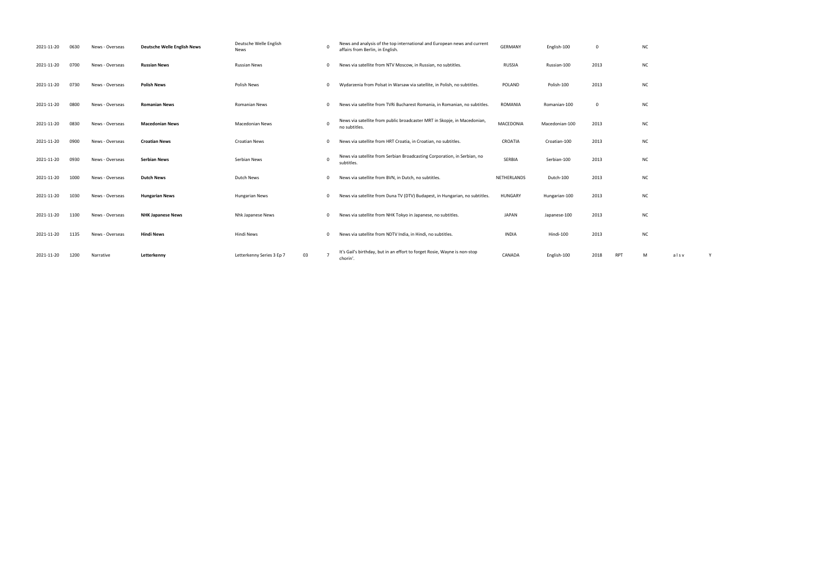| 2021-11-20 | 0630 | News - Overseas | <b>Deutsche Welle English News</b> | Deutsche Welle English<br>News |             | News and analysis of the top international and European news and current<br>affairs from Berlin, in English. | <b>GERMANY</b>     | English-100    | $\mathbf 0$ |            | N <sub>C</sub> |
|------------|------|-----------------|------------------------------------|--------------------------------|-------------|--------------------------------------------------------------------------------------------------------------|--------------------|----------------|-------------|------------|----------------|
| 2021-11-20 | 0700 | News - Overseas | <b>Russian News</b>                | <b>Russian News</b>            | $^{\circ}$  | News via satellite from NTV Moscow, in Russian, no subtitles.                                                | RUSSIA             | Russian-100    | 2013        |            | N0             |
| 2021-11-20 | 0730 | News - Overseas | <b>Polish News</b>                 | Polish News                    | $\mathbf 0$ | Wydarzenia from Polsat in Warsaw via satellite, in Polish, no subtitles.                                     | POLAND             | Polish-100     | 2013        |            | N0             |
| 2021-11-20 | 0800 | News - Overseas | <b>Romanian News</b>               | <b>Romanian News</b>           | $\Omega$    | News via satellite from TVRi Bucharest Romania, in Romanian, no subtitles.                                   | ROMANIA            | Romanian-100   | $\mathbf 0$ |            | N0             |
| 2021-11-20 | 0830 | News - Overseas | <b>Macedonian News</b>             | <b>Macedonian News</b>         | $\Omega$    | News via satellite from public broadcaster MRT in Skopje, in Macedonian,<br>no subtitles.                    | MACEDONIA          | Macedonian-100 | 2013        |            | N0             |
| 2021-11-20 | 0900 | News - Overseas | <b>Croatian News</b>               | <b>Croatian News</b>           |             | News via satellite from HRT Croatia, in Croatian, no subtitles.                                              | CROATIA            | Croatian-100   | 2013        |            | N0             |
| 2021-11-20 | 0930 | News - Overseas | <b>Serbian News</b>                | Serbian News                   | $^{\circ}$  | News via satellite from Serbian Broadcasting Corporation, in Serbian, no<br>subtitles.                       | <b>SERBIA</b>      | Serbian-100    | 2013        |            | N0             |
| 2021-11-20 | 1000 | News - Overseas | <b>Dutch News</b>                  | Dutch News                     | $^{\circ}$  | News via satellite from BVN, in Dutch, no subtitles.                                                         | <b>NETHERLANDS</b> | Dutch-100      | 2013        |            | N <sub>C</sub> |
| 2021-11-20 | 1030 | News - Overseas | <b>Hungarian News</b>              | <b>Hungarian News</b>          | $\mathbf 0$ | News via satellite from Duna TV (DTV) Budapest, in Hungarian, no subtitles.                                  | HUNGARY            | Hungarian-100  | 2013        |            | N0             |
| 2021-11-20 | 1100 | News - Overseas | <b>NHK Japanese News</b>           | Nhk Japanese News              | $^{\circ}$  | News via satellite from NHK Tokyo in Japanese, no subtitles.                                                 | <b>JAPAN</b>       | Japanese-100   | 2013        |            | N0             |
| 2021-11-20 | 1135 | News - Overseas | <b>Hindi News</b>                  | Hindi News                     |             | News via satellite from NDTV India, in Hindi, no subtitles.                                                  | <b>INDIA</b>       | Hindi-100      | 2013        |            | N <sub>C</sub> |
| 2021-11-20 | 1200 | Narrative       | Letterkenny                        | Letterkenny Series 3 Ep 7      | 03          | It's Gail's birthday, but in an effort to forget Rosie, Wayne is non-stop<br>chorin'.                        | CANADA             | English-100    | 2018        | <b>RPT</b> | M              |

|            | <b>NC</b> |      |   |  |
|------------|-----------|------|---|--|
|            | NC        |      |   |  |
|            | <b>NC</b> |      |   |  |
|            | NC        |      |   |  |
|            | NC        |      |   |  |
|            | NC        |      |   |  |
|            | NC        |      |   |  |
|            | NC        |      |   |  |
|            | <b>NC</b> |      |   |  |
|            | <b>NC</b> |      |   |  |
|            | <b>NC</b> |      |   |  |
| <b>RPT</b> | М         | alsv | Υ |  |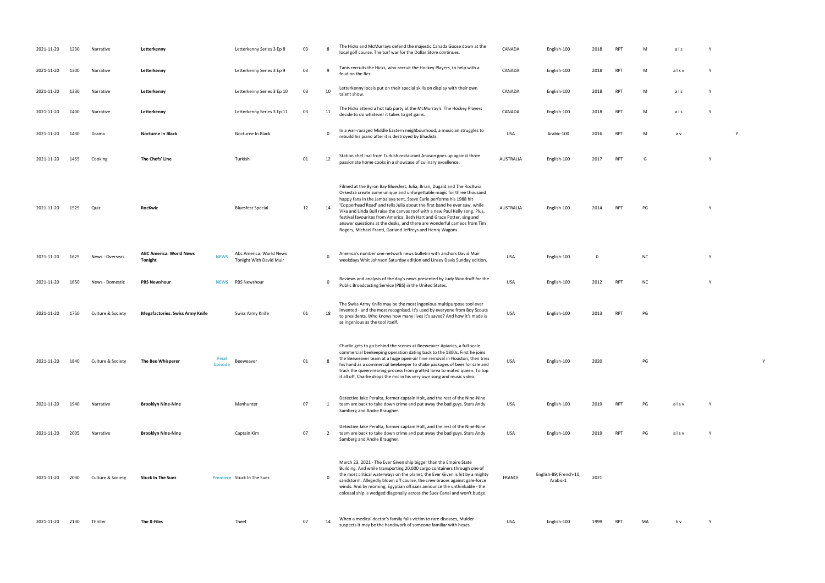| 2021-11-20 | 1230 | Narrative         | Letterkenny                               |                         | Letterkenny Series 3 Ep 8                          | 03 | 8              | The Hicks and McMurrays defend the majestic Canada Goose down at the<br>local golf course. The turf war for the Dollar Store continues.                                                                                                                                                                                                                                                                                                                                                                                                                                                                | CANADA           | English-100                        | 2018 | <b>RP</b>      |
|------------|------|-------------------|-------------------------------------------|-------------------------|----------------------------------------------------|----|----------------|--------------------------------------------------------------------------------------------------------------------------------------------------------------------------------------------------------------------------------------------------------------------------------------------------------------------------------------------------------------------------------------------------------------------------------------------------------------------------------------------------------------------------------------------------------------------------------------------------------|------------------|------------------------------------|------|----------------|
| 2021-11-20 | 1300 | Narrative         | Letterkenny                               |                         | Letterkenny Series 3 Ep 9                          | 03 | 9              | Tanis recruits the Hicks, who recruit the Hockey Players, to help with a<br>feud on the Rez.                                                                                                                                                                                                                                                                                                                                                                                                                                                                                                           | CANADA           | English-100                        | 2018 | RP             |
| 2021-11-20 | 1330 | Narrative         | Letterkenny                               |                         | Letterkenny Series 3 Ep 10                         | 03 | 10             | Letterkenny locals put on their special skills on display with their own<br>talent show.                                                                                                                                                                                                                                                                                                                                                                                                                                                                                                               | CANADA           | English-100                        | 2018 | RP             |
| 2021-11-20 | 1400 | Narrative         | Letterkenny                               |                         | Letterkenny Series 3 Ep 11                         | 03 | 11             | The Hicks attend a hot tub party at the McMurray's. The Hockey Players<br>decide to do whatever it takes to get gains.                                                                                                                                                                                                                                                                                                                                                                                                                                                                                 | CANADA           | English-100                        | 2018 | <b>RP</b>      |
| 2021-11-20 | 1430 | Drama             | <b>Nocturne In Black</b>                  |                         | Nocturne In Black                                  |    | $\mathbf 0$    | In a war-ravaged Middle Eastern neighbourhood, a musician struggles to<br>rebuild his piano after it is destroyed by Jihadists.                                                                                                                                                                                                                                                                                                                                                                                                                                                                        | <b>USA</b>       | Arabic-100                         | 2016 | RP             |
| 2021-11-20 | 1455 | Cooking           | The Chefs' Line                           |                         | Turkish                                            | 01 | 12             | Station chef Inal from Turkish restaurant Anason goes up against three<br>passionate home cooks in a showcase of culinary excellence.                                                                                                                                                                                                                                                                                                                                                                                                                                                                  | <b>AUSTRALIA</b> | English-100                        | 2017 | <b>RP</b>      |
| 2021-11-20 | 1525 | Quiz              | <b>RocKwiz</b>                            |                         | <b>Bluesfest Special</b>                           | 12 | 14             | Filmed at the Byron Bay Bluesfest, Julia, Brian, Dugald and The RocKwiz<br>Orkestra create some unique and unforgettable magic for three thousand<br>happy fans in the Jambalaya tent. Steve Earle performs his 1988 hit<br>'Copperhead Road' and tells Julia about the first band he ever saw, while<br>Vika and Linda Bull raise the canvas roof with a new Paul Kelly song. Plus,<br>festival favourites from America, Beth Hart and Grace Potter, sing and<br>answer questions at the desks, and there are wonderful cameos from Tim<br>Rogers, Michael Franti, Garland Jeffreys and Henry Wagons. | <b>AUSTRALIA</b> | English-100                        | 2014 | RP             |
| 2021-11-20 | 1625 | News - Overseas   | <b>ABC America: World News</b><br>Tonight | <b>NEWS</b>             | Abc America: World News<br>Tonight With David Muir |    | $\pmb{0}$      | America's number one network news bulletin with anchors David Muir<br>weekdays Whit Johnson Saturday edition and Linsey Davis Sunday edition.                                                                                                                                                                                                                                                                                                                                                                                                                                                          | USA              | English-100                        | 0    |                |
| 2021-11-20 | 1650 | News - Domestic   | <b>PBS Newshour</b>                       | <b>NEWS</b>             | <b>PBS Newshour</b>                                |    | $\mathbf 0$    | Reviews and analysis of the day's news presented by Judy Woodruff for the<br>Public Broadcasting Service (PBS) in the United States.                                                                                                                                                                                                                                                                                                                                                                                                                                                                   | <b>USA</b>       | English-100                        | 2012 | RP             |
| 2021-11-20 | 1750 | Culture & Society | <b>Megafactories: Swiss Army Knife</b>    |                         | Swiss Army Knife                                   | 01 | 18             | The Swiss Army Knife may be the most ingenious multipurpose tool ever<br>invented - and the most recognised. It's used by everyone from Boy Scouts<br>to presidents. Who knows how many lives it's saved? And how it's made is<br>as ingenious as the tool itself.                                                                                                                                                                                                                                                                                                                                     | <b>USA</b>       | English-100                        | 2013 | RP             |
| 2021-11-20 | 1840 | Culture & Society | The Bee Whisperer                         | Final<br><b>Episode</b> | Beeweaver                                          | 01 | 8              | Charlie gets to go behind the scenes at Beeweaver Apiaries, a full-scale<br>commercial beekeeping operation dating back to the 1800s. First he joins<br>the Beeweaver team at a huge open-air hive removal in Houston, then tries<br>his hand as a commercial beekeeper to shake packages of bees for sale and<br>track the queen-rearing process from grafted larva to mated queen. To top<br>it all off, Charlie drops the mic in his very own song and music video.                                                                                                                                 | <b>USA</b>       | English-100                        | 2020 |                |
| 2021-11-20 | 1940 | Narrative         | <b>Brooklyn Nine-Nine</b>                 |                         | Manhunter                                          | 07 | 1              | Detective Jake Peralta, former captain Holt, and the rest of the Nine-Nine<br>team are back to take down crime and put away the bad guys. Stars Andy<br>Samberg and Andre Braugher.                                                                                                                                                                                                                                                                                                                                                                                                                    | USA              | English-100                        | 2019 | RP             |
| 2021-11-20 | 2005 | Narrative         | <b>Brooklyn Nine-Nine</b>                 |                         | Captain Kim                                        | 07 | $\overline{2}$ | Detective Jake Peralta, former captain Holt, and the rest of the Nine-Nine<br>team are back to take down crime and put away the bad guys. Stars Andy<br>Samberg and Andre Braugher.                                                                                                                                                                                                                                                                                                                                                                                                                    | USA              | English-100                        | 2019 | RP <sup></sup> |
| 2021-11-20 | 2030 | Culture & Society | <b>Stuck In The Suez</b>                  |                         | Premiere Stuck In The Suez                         |    | $\mathbf 0$    | March 23, 2021 - The Ever Given ship bigger than the Empire State<br>Building. And while transporting 20,000 cargo containers through one of<br>the most critical waterways on the planet, the Ever Given is hit by a mighty<br>sandstorm. Allegedly blown off course, the crew braces against gale-force<br>winds. And by morning, Egyptian officials announce the unthinkable - the<br>colossal ship is wedged diagonally across the Suez Canal and won't budge.                                                                                                                                     | <b>FRANCE</b>    | English-89; French-10;<br>Arabic-1 | 2021 |                |
| 2021-11-20 | 2130 | Thriller          | The X-Files                               |                         | Theef                                              | 07 | 14             | When a medical doctor's family falls victim to rare diseases, Mulder<br>suspects it may be the handiwork of someone familiar with hexes.                                                                                                                                                                                                                                                                                                                                                                                                                                                               | <b>USA</b>       | English-100                        | 1999 | RP             |

- local golf course. The turf war for the turf war for the Dollar Store continues. CANADA English-100 2018 RPT M<br>The Dollar Store continues. CANADA English-100 2018 RPT M and store continues. CANADA English-100 2018 RPT M a
- feud on the Real Series and Series and Yunder
- talent show that the show are the shown of the show and the show that the show that the show that the show tha<br>The show that the show that the show that the show that the show that the show that the show that the show tha<br>
- decide to do whatever it takes to get a large to get a large to get gains. CANADA English-100 2018 RPT M a lar<br>. CANADA ENGLISH-100 2019 RPT M a l s Y
- rebuild his minimal his destroyed by Jihadists. USA Arabic-100 2016 RPT M a v Y V Y 2016 RPT M a v Y 2016 RPT M
- passionate home cooks in a showcase of culinary excellence. AUSTRALIA English-100 <sup>2017</sup> RPT <sup>G</sup> <sup>Y</sup>
	-
- RPT PG Y
	-
- weekdays Whit Johnson Saturday edition and Linsey Davis Sunday edition. USA English-100 <sup>0</sup> NC <sup>Y</sup>
- PT NC SERVICE (PBS) in the UNITED STATES. USA ENGLISH-100 2012 RPT NC Y
- RPT PG
	-
- PG Y
	-
- PT PG alsv Y
- RPT PG alsv Y
	-
	-
	-
- $SPT$  MA hv Y
- 
- 
- 
- 
- 
- 
- 
- 
- 
- 
- 
- 
- 
- -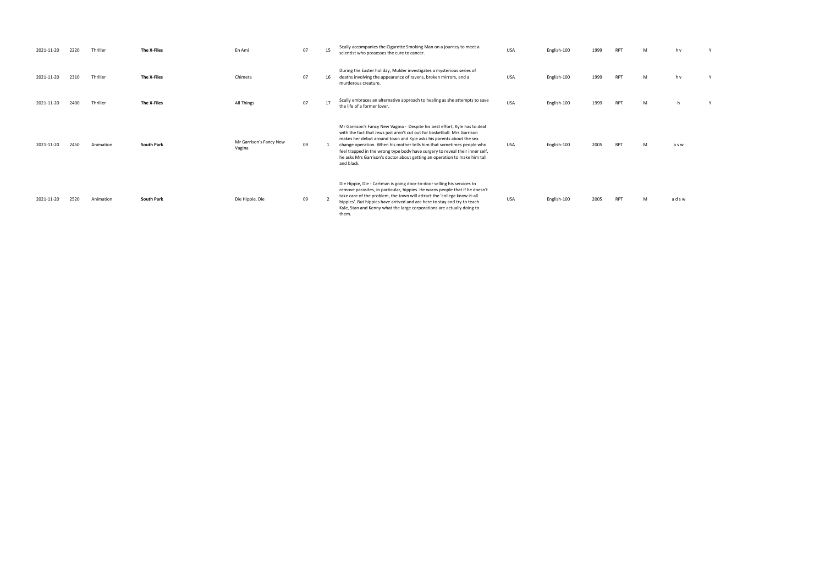| M | h v   | Υ |
|---|-------|---|
| M | h v   | Υ |
| M | h     | Υ |
| M | a s w |   |

| 2021-11-20 | 2220 | Thriller  | The X-Files       | En Ami                            | 07 | 15 | Scully accompanies the Cigarette Smoking Man on a journey to meet a<br>scientist who possesses the cure to cancer.                                                                                                                                                                                                                                                                                                                                                                | <b>USA</b> | English-100 | 1999 | <b>RPT</b> | M | h v   |
|------------|------|-----------|-------------------|-----------------------------------|----|----|-----------------------------------------------------------------------------------------------------------------------------------------------------------------------------------------------------------------------------------------------------------------------------------------------------------------------------------------------------------------------------------------------------------------------------------------------------------------------------------|------------|-------------|------|------------|---|-------|
| 2021-11-20 | 2310 | Thriller  | The X-Files       | Chimera                           | 07 | 16 | During the Easter holiday, Mulder investigates a mysterious series of<br>deaths involving the appearance of ravens, broken mirrors, and a<br>murderous creature.                                                                                                                                                                                                                                                                                                                  | <b>USA</b> | English-100 | 1999 | <b>RPT</b> | M | h v   |
| 2021-11-20 | 2400 | Thriller  | The X-Files       | All Things                        | 07 | 17 | Scully embraces an alternative approach to healing as she attempts to save<br>the life of a former lover.                                                                                                                                                                                                                                                                                                                                                                         | <b>USA</b> | English-100 | 1999 | <b>RPT</b> | M |       |
| 2021-11-20 | 2450 | Animation | <b>South Park</b> | Mr Garrison's Fancy New<br>Vagina | 09 |    | Mr Garrison's Fancy New Vagina - Despite his best effort, Kyle has to deal<br>with the fact that Jews just aren't cut out for basketball. Mrs Garrison<br>makes her debut around town and Kyle asks his parents about the sex<br>change operation. When his mother tells him that sometimes people who<br>feel trapped in the wrong type body have surgery to reveal their inner self,<br>he asks Mrs Garrison's doctor about getting an operation to make him tall<br>and black. | USA        | English-100 | 2005 | <b>RPT</b> | M | a s w |
| 2021-11-20 | 2520 | Animation | <b>South Park</b> | Die Hippie, Die                   | 09 |    | Die Hippie, Die - Cartman is going door-to-door selling his services to<br>remove parasites, in particular, hippies. He warns people that if he doesn't<br>take care of the problem, the town will attract the 'college know-it-all<br>hippies'. But hippies have arrived and are here to stay and try to teach<br>Kyle, Stan and Kenny what the large corporations are actually doing to<br>them                                                                                 | <b>USA</b> | English-100 | 2005 | <b>RPT</b> | M | adsw  |